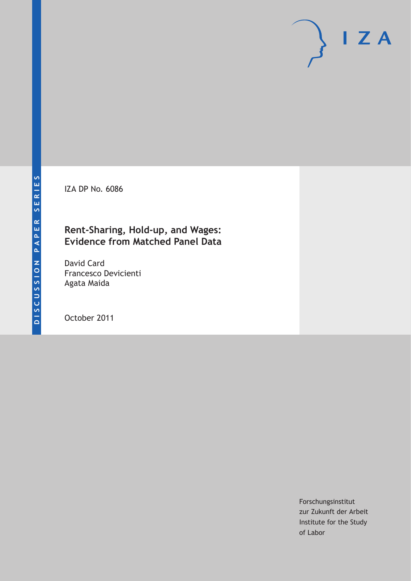IZA DP No. 6086

### **Rent-Sharing, Hold-up, and Wages: Evidence from Matched Panel Data**

David Card Francesco Devicienti Agata Maida

October 2011

Forschungsinstitut zur Zukunft der Arbeit Institute for the Study of Labor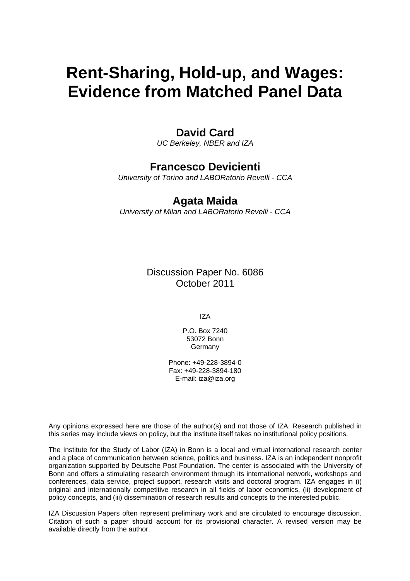# **Rent-Sharing, Hold-up, and Wages: Evidence from Matched Panel Data**

### **David Card**

*UC Berkeley, NBER and IZA* 

### **Francesco Devicienti**

*University of Torino and LABORatorio Revelli - CCA* 

### **Agata Maida**

*University of Milan and LABORatorio Revelli - CCA* 

Discussion Paper No. 6086 October 2011

IZA

P.O. Box 7240 53072 Bonn **Germany** 

Phone: +49-228-3894-0 Fax: +49-228-3894-180 E-mail: [iza@iza.org](mailto:iza@iza.org)

Any opinions expressed here are those of the author(s) and not those of IZA. Research published in this series may include views on policy, but the institute itself takes no institutional policy positions.

The Institute for the Study of Labor (IZA) in Bonn is a local and virtual international research center and a place of communication between science, politics and business. IZA is an independent nonprofit organization supported by Deutsche Post Foundation. The center is associated with the University of Bonn and offers a stimulating research environment through its international network, workshops and conferences, data service, project support, research visits and doctoral program. IZA engages in (i) original and internationally competitive research in all fields of labor economics, (ii) development of policy concepts, and (iii) dissemination of research results and concepts to the interested public.

IZA Discussion Papers often represent preliminary work and are circulated to encourage discussion. Citation of such a paper should account for its provisional character. A revised version may be available directly from the author.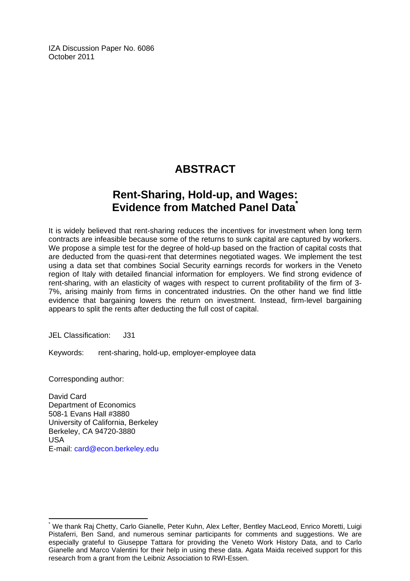IZA Discussion Paper No. 6086 October 2011

## **ABSTRACT**

### **Rent-Sharing, Hold-up, and Wages: Evidence from Matched Panel Data[\\*](#page-2-0)**

It is widely believed that rent-sharing reduces the incentives for investment when long term contracts are infeasible because some of the returns to sunk capital are captured by workers. We propose a simple test for the degree of hold-up based on the fraction of capital costs that are deducted from the quasi-rent that determines negotiated wages. We implement the test using a data set that combines Social Security earnings records for workers in the Veneto region of Italy with detailed financial information for employers. We find strong evidence of rent-sharing, with an elasticity of wages with respect to current profitability of the firm of 3- 7%, arising mainly from firms in concentrated industries. On the other hand we find little evidence that bargaining lowers the return on investment. Instead, firm-level bargaining appears to split the rents after deducting the full cost of capital.

JEL Classification: J31

Keywords: rent-sharing, hold-up, employer-employee data

Corresponding author:

 $\overline{a}$ 

David Card Department of Economics 508-1 Evans Hall #3880 University of California, Berkeley Berkeley, CA 94720-3880 USA E-mail: [card@econ.berkeley.edu](mailto:card@econ.berkeley.edu)

<span id="page-2-0"></span><sup>\*</sup> We thank Raj Chetty, Carlo Gianelle, Peter Kuhn, Alex Lefter, Bentley MacLeod, Enrico Moretti, Luigi Pistaferri, Ben Sand, and numerous seminar participants for comments and suggestions. We are especially grateful to Giuseppe Tattara for providing the Veneto Work History Data, and to Carlo Gianelle and Marco Valentini for their help in using these data. Agata Maida received support for this research from a grant from the Leibniz Association to RWI-Essen.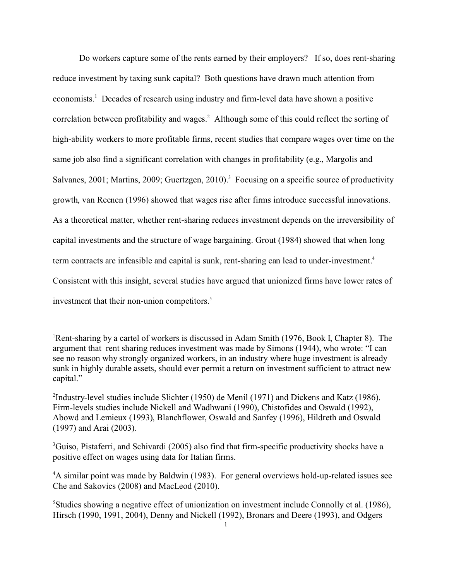Do workers capture some of the rents earned by their employers? If so, does rent-sharing reduce investment by taxing sunk capital? Both questions have drawn much attention from economists.<sup>1</sup> Decades of research using industry and firm-level data have shown a positive correlation between profitability and wages.<sup>2</sup> Although some of this could reflect the sorting of high-ability workers to more profitable firms, recent studies that compare wages over time on the same job also find a significant correlation with changes in profitability (e.g., Margolis and Salvanes, 2001; Martins, 2009; Guertzgen, 2010).<sup>3</sup> Focusing on a specific source of productivity growth, van Reenen (1996) showed that wages rise after firms introduce successful innovations. As a theoretical matter, whether rent-sharing reduces investment depends on the irreversibility of capital investments and the structure of wage bargaining. Grout (1984) showed that when long term contracts are infeasible and capital is sunk, rent-sharing can lead to under-investment.<sup>4</sup> Consistent with this insight, several studies have argued that unionized firms have lower rates of investment that their non-union competitors.<sup>5</sup>

<sup>&</sup>lt;sup>1</sup>Rent-sharing by a cartel of workers is discussed in Adam Smith (1976, Book I, Chapter 8). The argument that rent sharing reduces investment was made by Simons (1944), who wrote: "I can see no reason why strongly organized workers, in an industry where huge investment is already sunk in highly durable assets, should ever permit a return on investment sufficient to attract new capital."

<sup>&</sup>lt;sup>2</sup>Industry-level studies include Slichter (1950) de Menil (1971) and Dickens and Katz (1986). Firm-levels studies include Nickell and Wadhwani (1990), Chistofides and Oswald (1992), Abowd and Lemieux (1993), Blanchflower, Oswald and Sanfey (1996), Hildreth and Oswald (1997) and Arai (2003).

<sup>&</sup>lt;sup>3</sup>Guiso, Pistaferri, and Schivardi (2005) also find that firm-specific productivity shocks have a positive effect on wages using data for Italian firms.

<sup>&</sup>lt;sup>4</sup>A similar point was made by Baldwin (1983). For general overviews hold-up-related issues see Che and Sakovics (2008) and MacLeod (2010).

<sup>5</sup>Studies showing a negative effect of unionization on investment include Connolly et al. (1986), Hirsch (1990, 1991, 2004), Denny and Nickell (1992), Bronars and Deere (1993), and Odgers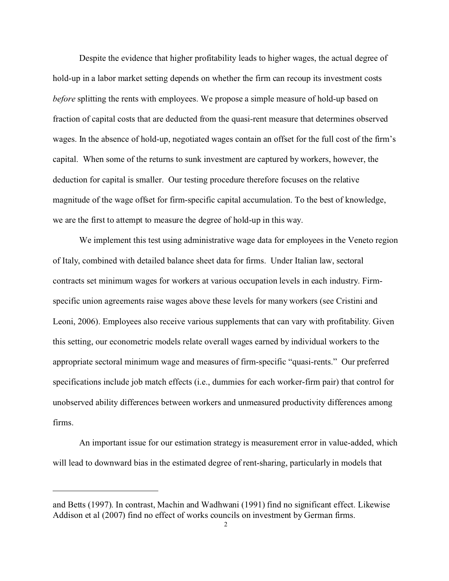Despite the evidence that higher profitability leads to higher wages, the actual degree of hold-up in a labor market setting depends on whether the firm can recoup its investment costs *before* splitting the rents with employees. We propose a simple measure of hold-up based on fraction of capital costs that are deducted from the quasi-rent measure that determines observed wages. In the absence of hold-up, negotiated wages contain an offset for the full cost of the firm's capital. When some of the returns to sunk investment are captured by workers, however, the deduction for capital is smaller. Our testing procedure therefore focuses on the relative magnitude of the wage offset for firm-specific capital accumulation. To the best of knowledge, we are the first to attempt to measure the degree of hold-up in this way.

We implement this test using administrative wage data for employees in the Veneto region of Italy, combined with detailed balance sheet data for firms. Under Italian law, sectoral contracts set minimum wages for workers at various occupation levels in each industry. Firmspecific union agreements raise wages above these levels for many workers (see Cristini and Leoni, 2006). Employees also receive various supplements that can vary with profitability. Given this setting, our econometric models relate overall wages earned by individual workers to the appropriate sectoral minimum wage and measures of firm-specific "quasi-rents." Our preferred specifications include job match effects (i.e., dummies for each worker-firm pair) that control for unobserved ability differences between workers and unmeasured productivity differences among firms.

An important issue for our estimation strategy is measurement error in value-added, which will lead to downward bias in the estimated degree of rent-sharing, particularly in models that

and Betts (1997). In contrast, Machin and Wadhwani (1991) find no significant effect. Likewise Addison et al (2007) find no effect of works councils on investment by German firms.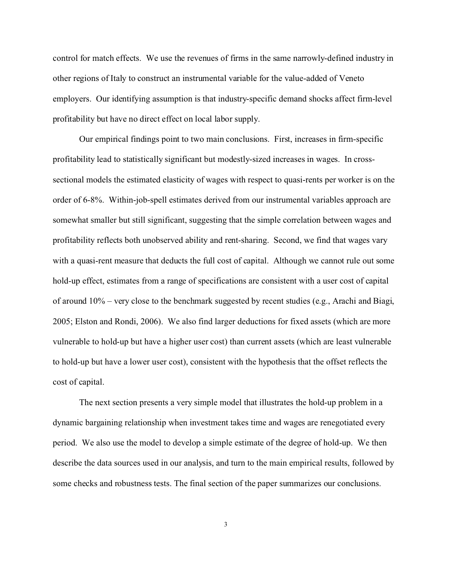control for match effects. We use the revenues of firms in the same narrowly-defined industry in other regions of Italy to construct an instrumental variable for the value-added of Veneto employers. Our identifying assumption is that industry-specific demand shocks affect firm-level profitability but have no direct effect on local labor supply.

Our empirical findings point to two main conclusions. First, increases in firm-specific profitability lead to statistically significant but modestly-sized increases in wages. In crosssectional models the estimated elasticity of wages with respect to quasi-rents per worker is on the order of 6-8%. Within-job-spell estimates derived from our instrumental variables approach are somewhat smaller but still significant, suggesting that the simple correlation between wages and profitability reflects both unobserved ability and rent-sharing. Second, we find that wages vary with a quasi-rent measure that deducts the full cost of capital. Although we cannot rule out some hold-up effect, estimates from a range of specifications are consistent with a user cost of capital of around 10% – very close to the benchmark suggested by recent studies (e.g., Arachi and Biagi, 2005; Elston and Rondi, 2006). We also find larger deductions for fixed assets (which are more vulnerable to hold-up but have a higher user cost) than current assets (which are least vulnerable to hold-up but have a lower user cost), consistent with the hypothesis that the offset reflects the cost of capital.

The next section presents a very simple model that illustrates the hold-up problem in a dynamic bargaining relationship when investment takes time and wages are renegotiated every period. We also use the model to develop a simple estimate of the degree of hold-up. We then describe the data sources used in our analysis, and turn to the main empirical results, followed by some checks and robustness tests. The final section of the paper summarizes our conclusions.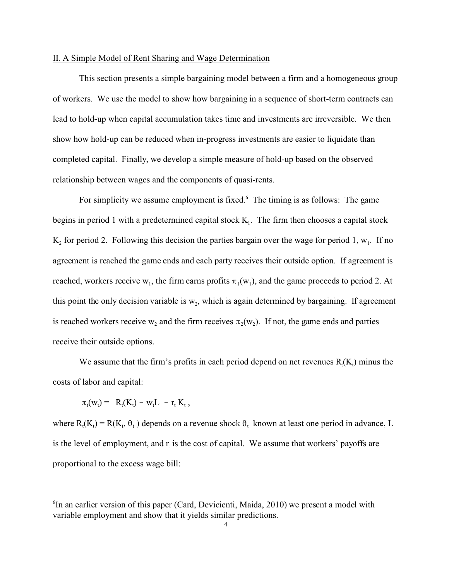#### II. A Simple Model of Rent Sharing and Wage Determination

This section presents a simple bargaining model between a firm and a homogeneous group of workers. We use the model to show how bargaining in a sequence of short-term contracts can lead to hold-up when capital accumulation takes time and investments are irreversible. We then show how hold-up can be reduced when in-progress investments are easier to liquidate than completed capital. Finally, we develop a simple measure of hold-up based on the observed relationship between wages and the components of quasi-rents.

For simplicity we assume employment is fixed.<sup>6</sup> The timing is as follows: The game begins in period 1 with a predetermined capital stock  $K<sub>1</sub>$ . The firm then chooses a capital stock  $K_2$  for period 2. Following this decision the parties bargain over the wage for period 1,  $w_1$ . If no agreement is reached the game ends and each party receives their outside option. If agreement is reached, workers receive  $w_1$ , the firm earns profits  $\pi_1(w_1)$ , and the game proceeds to period 2. At this point the only decision variable is  $w_2$ , which is again determined by bargaining. If agreement is reached workers receive  $w_2$  and the firm receives  $\pi_2(w_2)$ . If not, the game ends and parties receive their outside options.

We assume that the firm's profits in each period depend on net revenues  $R_t(K_t)$  minus the costs of labor and capital:

$$
\pi_t(w_t) = \ R_t(K_t) - w_t L - r_t \ K_t \ ,
$$

where  $R_t(K_t) = R(K_t, \theta_t)$  depends on a revenue shock  $\theta_t$  known at least one period in advance, L is the level of employment, and  $r_t$  is the cost of capital. We assume that workers' payoffs are proportional to the excess wage bill:

<sup>&</sup>lt;sup>6</sup>In an earlier version of this paper (Card, Devicienti, Maida, 2010) we present a model with variable employment and show that it yields similar predictions.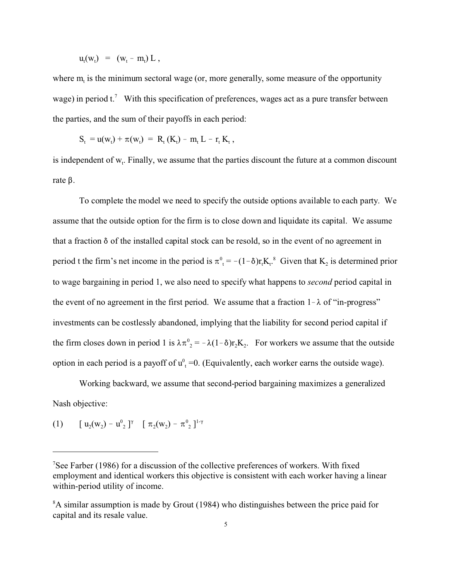$$
u_t(w_t) = (w_t - m_t) L,
$$

where  $m<sub>t</sub>$  is the minimum sectoral wage (or, more generally, some measure of the opportunity wage) in period  $t$ .<sup>7</sup> With this specification of preferences, wages act as a pure transfer between the parties, and the sum of their payoffs in each period:

$$
S_t = u(w_t) + \pi(w_t) = R_t (K_t) - m_t L - r_t K_t,
$$

is independent of  $w_t$ . Finally, we assume that the parties discount the future at a common discount rate  $\beta$ .

To complete the model we need to specify the outside options available to each party. We assume that the outside option for the firm is to close down and liquidate its capital. We assume that a fraction  $\delta$  of the installed capital stock can be resold, so in the event of no agreement in period t the firm's net income in the period is  $\pi^0 = -(1-\delta)r_tK_t^8$ . Given that  $K_2$  is determined prior to wage bargaining in period 1, we also need to specify what happens to *second* period capital in the event of no agreement in the first period. We assume that a fraction  $1-\lambda$  of "in-progress" investments can be costlessly abandoned, implying that the liability for second period capital if the firm closes down in period 1 is  $\lambda \pi^0 = -\lambda (1-\delta) r_2 K_2$ . For workers we assume that the outside option in each period is a payoff of  $u^0_+$  =0. (Equivalently, each worker earns the outside wage).

Working backward, we assume that second-period bargaining maximizes a generalized Nash objective:

(1)  $[u_2(w_2) - u_{2}^0]^\gamma$   $[\pi_2(w_2) - \pi_{2}^0]^{1-\gamma}$ 

<sup>7</sup>See Farber (1986) for a discussion of the collective preferences of workers. With fixed employment and identical workers this objective is consistent with each worker having a linear within-period utility of income.

<sup>&</sup>lt;sup>8</sup>A similar assumption is made by Grout (1984) who distinguishes between the price paid for capital and its resale value.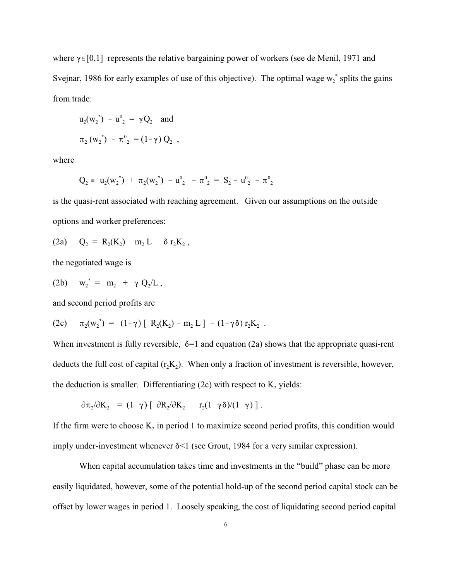where  $\gamma \in [0,1]$  represents the relative bargaining power of workers (see de Menil, 1971 and Svejnar, 1986 for early examples of use of this objective). The optimal wage  $w_2^*$  splits the gains from trade:

$$
u_2(w_2^*) - u_2^0 = \gamma Q_2
$$
 and  
 $\pi_2 (w_2^*) - \pi_2^0 = (1 - \gamma) Q_2$ ,

where

$$
Q_2 = u_2({w_2}^*) + \pi_2({w_2}^*) - u_2^0 - \pi_2^0 = S_2 - u_2^0 - \pi_2^0
$$

is the quasi-rent associated with reaching agreement. Given our assumptions on the outside options and worker preferences:

(2a) 
$$
Q_2 = R_2(K_2) - m_2 L - \delta r_2 K_2
$$
,

the negotiated wage is

(2b) 
$$
w_2^* = m_2 + \gamma Q_2/L
$$
,

and second period profits are

(2c) 
$$
\pi_2(w_2^*) = (1-\gamma) [R_2(K_2) - m_2 L] - (1-\gamma \delta) r_2 K_2
$$
.

When investment is fully reversible,  $\delta$ =1 and equation (2a) shows that the appropriate quasi-rent deducts the full cost of capital  $(r_2K_2)$ . When only a fraction of investment is reversible, however, the deduction is smaller. Differentiating  $(2c)$  with respect to  $K_2$  yields:

$$
\partial \pi_2 / \partial K_2 = (1 - \gamma) \left[ \partial R_2 / \partial K_2 - r_2 (1 - \gamma \delta) / (1 - \gamma) \right].
$$

If the firm were to choose  $K_2$  in period 1 to maximize second period profits, this condition would imply under-investment whenever  $\delta$ <1 (see Grout, 1984 for a very similar expression).

When capital accumulation takes time and investments in the "build" phase can be more easily liquidated, however, some of the potential hold-up of the second period capital stock can be offset by lower wages in period 1. Loosely speaking, the cost of liquidating second period capital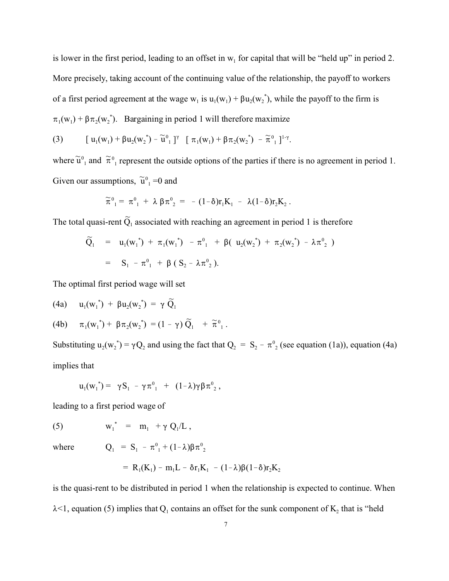is lower in the first period, leading to an offset in  $w_1$  for capital that will be "held up" in period 2. More precisely, taking account of the continuing value of the relationship, the payoff to workers of a first period agreement at the wage  $w_1$  is  $u_1(w_1) + \beta u_2(w_2^*)$ , while the payoff to the firm is  $\pi_1(\mathbf{w}_1) + \beta \pi_2(\mathbf{w}_2^*)$ . Bargaining in period 1 will therefore maximize

(3) 
$$
[u_1(w_1)+\beta u_2(w_2^*)-\widetilde{u}^0_{1}]^{\gamma} [\pi_1(w_1)+\beta \pi_2(w_2^*)-\widetilde{\pi}^0_{1}]^{1-\gamma}.
$$

where  $\tilde{u}^0$  and  $\tilde{\pi}^0$  represent the outside options of the parties if there is no agreement in period 1. Given our assumptions,  $\tilde{u}^0_{1} = 0$  and

$$
\widetilde{\pi}^{\,0}_{\ \ \, 1}=\; \pi^{\,0}_{\ \ \, 1}\;+\;\lambda\,\,\beta\,\pi^{\,0}_{\ \ \, 2}\;=\;-\;(\,1\,-\,\delta )r_{1}K_{1}\;-\;\;\lambda(\,1\,-\,\delta )r_{2}K_{2}\;.
$$

The total quasi-rent  $\widetilde{Q}_1$  associated with reaching an agreement in period 1 is therefore

$$
\widetilde{Q}_1 = u_1(w_1^*) + \pi_1(w_1^*) - \pi^0_1 + \beta(u_2(w_2^*) + \pi_2(w_2^*) - \lambda \pi^0_2)
$$
\n
$$
= S_1 - \pi^0_1 + \beta (S_2 - \lambda \pi^0_2).
$$

The optimal first period wage will set

(4a) 
$$
u_1(w_1^*) + \beta u_2(w_2^*) = \gamma \widetilde{Q}_1
$$

(4b) 
$$
\pi_1(w_1^*) + \beta \pi_2(w_2^*) = (1 - \gamma) \widetilde{Q}_1 + \widetilde{\pi}_{1}^0
$$
.

Substituting  $u_2(w_2^*) = \gamma Q_2$  and using the fact that  $Q_2 = S_2 - \pi^0 Z_2$  (see equation (1a)), equation (4a) implies that

$$
u_1({w_1}^*) = \gamma S_1 - \gamma \pi^0_{1} + (1-\lambda)\gamma \beta \pi^0_{2},
$$

leading to a first period wage of

 $(5)$ \* =  $m_1$  +  $\gamma$  Q<sub>1</sub>/L,

where

=  $S_1 - \pi^0_1 + (1-\lambda)\beta \pi^0_2$ 

$$
= R_1(K_1) - m_1L - \delta r_1K_1 - (1-\lambda)\beta(1-\delta)r_2K_2
$$

is the quasi-rent to be distributed in period 1 when the relationship is expected to continue. When  $\lambda$ <1, equation (5) implies that  $Q_1$  contains an offset for the sunk component of  $K_2$  that is "held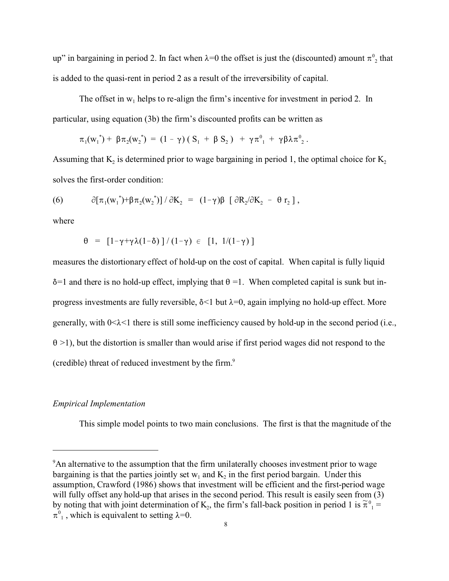up" in bargaining in period 2. In fact when  $\lambda=0$  the offset is just the (discounted) amount  $\pi^0_{\phantom{0}2}$  that is added to the quasi-rent in period 2 as a result of the irreversibility of capital.

The offset in  $w_1$  helps to re-align the firm's incentive for investment in period 2. In particular, using equation (3b) the firm's discounted profits can be written as

$$
\pi_1(\mathbf{w}_1^*) + \beta \pi_2(\mathbf{w}_2^*) = (1 - \gamma) (S_1 + \beta S_2) + \gamma \pi^0_{1} + \gamma \beta \lambda \pi^0_{2}.
$$

Assuming that  $K_2$  is determined prior to wage bargaining in period 1, the optimal choice for  $K_2$ solves the first-order condition:

(6) 
$$
\partial [\pi_1({\bf w}_1^*) + \beta \pi_2({\bf w}_2^*)] / \partial K_2 = (1 - \gamma) \beta [\partial R_2 / \partial K_2 - \theta r_2],
$$

where

$$
\theta = [1 - \gamma + \gamma \lambda (1 - \delta)] / (1 - \gamma) \in [1, 1/(1 - \gamma)]
$$

measures the distortionary effect of hold-up on the cost of capital. When capital is fully liquid  $\delta$ =1 and there is no hold-up effect, implying that  $\theta$  =1. When completed capital is sunk but inprogress investments are fully reversible,  $\delta$ <1 but  $\lambda$ =0, again implying no hold-up effect. More generally, with  $0<\lambda<1$  there is still some inefficiency caused by hold-up in the second period (i.e.,  $\theta$  >1), but the distortion is smaller than would arise if first period wages did not respond to the (credible) threat of reduced investment by the firm.<sup>9</sup>

#### *Empirical Implementation*

This simple model points to two main conclusions. The first is that the magnitude of the

<sup>&</sup>lt;sup>9</sup>An alternative to the assumption that the firm unilaterally chooses investment prior to wage bargaining is that the parties jointly set  $w_1$  and  $K_2$  in the first period bargain. Under this assumption, Crawford (1986) shows that investment will be efficient and the first-period wage will fully offset any hold-up that arises in the second period. This result is easily seen from (3) by noting that with joint determination of  $K_2$ , the firm's fall-back position in period 1 is  $\tilde{\pi}^0{}_1$  =  $\pi^0$ , which is equivalent to setting  $\lambda=0$ .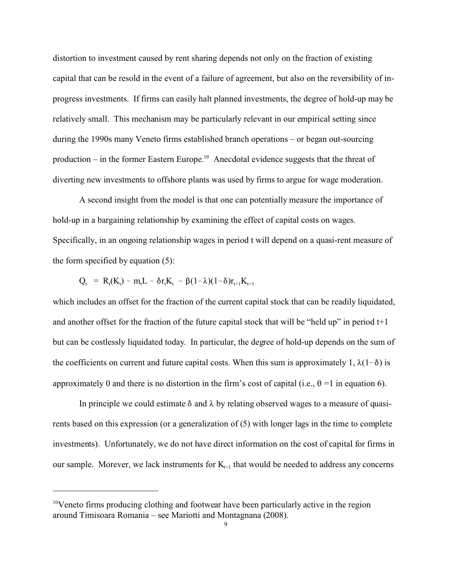distortion to investment caused by rent sharing depends not only on the fraction of existing capital that can be resold in the event of a failure of agreement, but also on the reversibility of inprogress investments. If firms can easily halt planned investments, the degree of hold-up may be relatively small. This mechanism may be particularly relevant in our empirical setting since during the 1990s many Veneto firms established branch operations – or began out-sourcing production – in the former Eastern Europe.<sup>10</sup> Anecdotal evidence suggests that the threat of diverting new investments to offshore plants was used by firms to argue for wage moderation.

A second insight from the model is that one can potentially measure the importance of hold-up in a bargaining relationship by examining the effect of capital costs on wages. Specifically, in an ongoing relationship wages in period t will depend on a quasi-rent measure of the form specified by equation (5):

$$
Q_t = R_t(K_t) - m_t L - \delta r_t K_t - \beta (1 - \lambda)(1 - \delta) r_{t+1} K_{t+1}
$$

which includes an offset for the fraction of the current capital stock that can be readily liquidated, and another offset for the fraction of the future capital stock that will be "held up" in period  $t+1$ but can be costlessly liquidated today. In particular, the degree of hold-up depends on the sum of the coefficients on current and future capital costs. When this sum is approximately 1,  $\lambda(1-\delta)$  is approximately 0 and there is no distortion in the firm's cost of capital (i.e.,  $\theta = 1$  in equation 6).

In principle we could estimate  $\delta$  and  $\lambda$  by relating observed wages to a measure of quasirents based on this expression (or a generalization of (5) with longer lags in the time to complete investments). Unfortunately, we do not have direct information on the cost of capital for firms in our sample. Morever, we lack instruments for  $K_{t+1}$  that would be needed to address any concerns

<sup>&</sup>lt;sup>10</sup>Veneto firms producing clothing and footwear have been particularly active in the region around Timisoara Romania – see Mariotti and Montagnana (2008).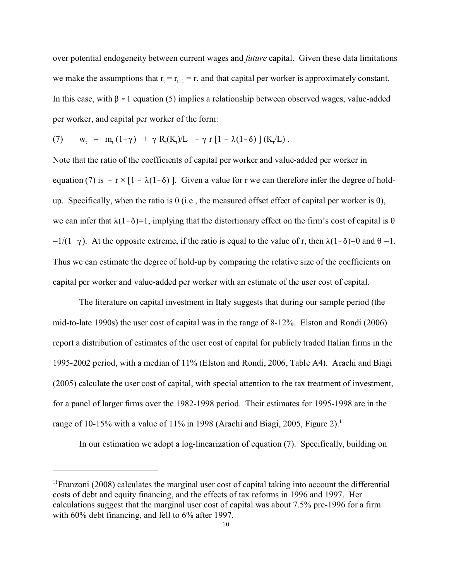over potential endogeneity between current wages and *future* capital. Given these data limitations we make the assumptions that  $r_t = r_{t+1} = r$ , and that capital per worker is approximately constant. In this case, with  $\beta \approx 1$  equation (5) implies a relationship between observed wages, value-added per worker, and capital per worker of the form:

(7) 
$$
w_t = m_t (1 - \gamma) + \gamma R_t(K_t)/L - \gamma r [1 - \lambda (1 - \delta)] (K_t/L).
$$

Note that the ratio of the coefficients of capital per worker and value-added per worker in equation (7) is  $-r \times [1 - \lambda(1-\delta)]$ . Given a value for r we can therefore infer the degree of holdup. Specifically, when the ratio is 0 (i.e., the measured offset effect of capital per worker is 0), we can infer that  $\lambda(1-\delta)=1$ , implying that the distortionary effect on the firm's cost of capital is  $\theta$  $=1/(1-\gamma)$ . At the opposite extreme, if the ratio is equal to the value of r, then  $\lambda(1-\delta)=0$  and  $\theta=1$ . Thus we can estimate the degree of hold-up by comparing the relative size of the coefficients on capital per worker and value-added per worker with an estimate of the user cost of capital.

The literature on capital investment in Italy suggests that during our sample period (the mid-to-late 1990s) the user cost of capital was in the range of 8-12%. Elston and Rondi (2006) report a distribution of estimates of the user cost of capital for publicly traded Italian firms in the 1995-2002 period, with a median of 11% (Elston and Rondi, 2006, Table A4). Arachi and Biagi (2005) calculate the user cost of capital, with special attention to the tax treatment of investment, for a panel of larger firms over the 1982-1998 period. Their estimates for 1995-1998 are in the range of 10-15% with a value of 11% in 1998 (Arachi and Biagi, 2005, Figure 2).<sup>11</sup>

In our estimation we adopt a log-linearization of equation (7). Specifically, building on

<sup>&</sup>lt;sup>11</sup>Franzoni (2008) calculates the marginal user cost of capital taking into account the differential costs of debt and equity financing, and the effects of tax reforms in 1996 and 1997. Her calculations suggest that the marginal user cost of capital was about 7.5% pre-1996 for a firm with  $60\%$  debt financing, and fell to  $6\%$  after 1997.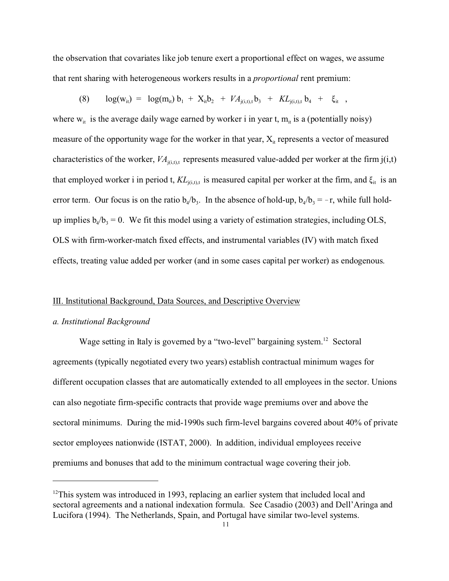the observation that covariates like job tenure exert a proportional effect on wages, we assume that rent sharing with heterogeneous workers results in a *proportional* rent premium:

(8)  $log(w_{it}) = log(m_{it}) b_1 + X_{it} b_2 + V A_{j(i,t),t} b_3 + K L_{j(i,t),t} b_4 + \xi_{it}$ 

where  $w_{it}$  is the average daily wage earned by worker i in year t,  $m_{it}$  is a (potentially noisy) measure of the opportunity wage for the worker in that year,  $X_{it}$  represents a vector of measured characteristics of the worker,  $VA_{i(i,t),t}$  represents measured value-added per worker at the firm  $j(i,t)$ that employed worker i in period t,  $KL_{i(i,t)}$  is measured capital per worker at the firm, and  $\xi_{it}$  is an error term. Our focus is on the ratio  $b_4/b_3$ . In the absence of hold-up,  $b_4/b_3 = -r$ , while full holdup implies  $b_4/b_3 = 0$ . We fit this model using a variety of estimation strategies, including OLS, OLS with firm-worker-match fixed effects, and instrumental variables (IV) with match fixed effects, treating value added per worker (and in some cases capital per worker) as endogenous.

#### III. Institutional Background, Data Sources, and Descriptive Overview

#### *a. Institutional Background*

Wage setting in Italy is governed by a "two-level" bargaining system.<sup>12</sup> Sectoral agreements (typically negotiated every two years) establish contractual minimum wages for different occupation classes that are automatically extended to all employees in the sector. Unions can also negotiate firm-specific contracts that provide wage premiums over and above the sectoral minimums. During the mid-1990s such firm-level bargains covered about 40% of private sector employees nationwide (ISTAT, 2000). In addition, individual employees receive premiums and bonuses that add to the minimum contractual wage covering their job.

 $12$ This system was introduced in 1993, replacing an earlier system that included local and sectoral agreements and a national indexation formula. See Casadio (2003) and Dell'Aringa and Lucifora (1994). The Netherlands, Spain, and Portugal have similar two-level systems.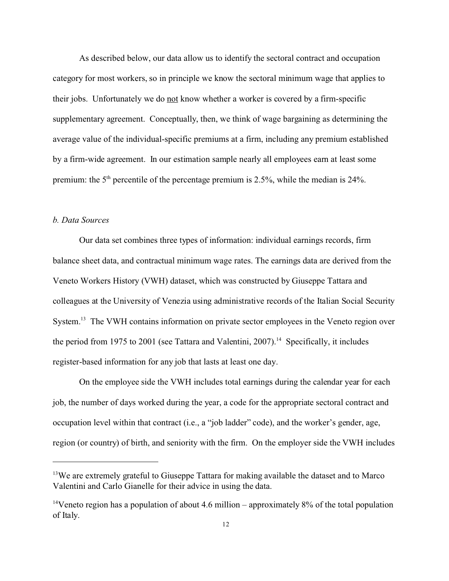As described below, our data allow us to identify the sectoral contract and occupation category for most workers, so in principle we know the sectoral minimum wage that applies to their jobs. Unfortunately we do not know whether a worker is covered by a firm-specific supplementary agreement. Conceptually, then, we think of wage bargaining as determining the average value of the individual-specific premiums at a firm, including any premium established by a firm-wide agreement. In our estimation sample nearly all employees earn at least some premium: the  $5<sup>th</sup>$  percentile of the percentage premium is 2.5%, while the median is 24%.

#### *b. Data Sources*

Our data set combines three types of information: individual earnings records, firm balance sheet data, and contractual minimum wage rates. The earnings data are derived from the Veneto Workers History (VWH) dataset, which was constructed by Giuseppe Tattara and colleagues at the University of Venezia using administrative records of the Italian Social Security System.<sup>13</sup> The VWH contains information on private sector employees in the Veneto region over the period from 1975 to 2001 (see Tattara and Valentini, 2007).<sup>14</sup> Specifically, it includes register-based information for any job that lasts at least one day.

On the employee side the VWH includes total earnings during the calendar year for each job, the number of days worked during the year, a code for the appropriate sectoral contract and occupation level within that contract (i.e., a "job ladder" code), and the worker's gender, age, region (or country) of birth, and seniority with the firm. On the employer side the VWH includes

<sup>&</sup>lt;sup>13</sup>We are extremely grateful to Giuseppe Tattara for making available the dataset and to Marco Valentini and Carlo Gianelle for their advice in using the data.

<sup>&</sup>lt;sup>14</sup>Veneto region has a population of about 4.6 million – approximately  $8\%$  of the total population of Italy.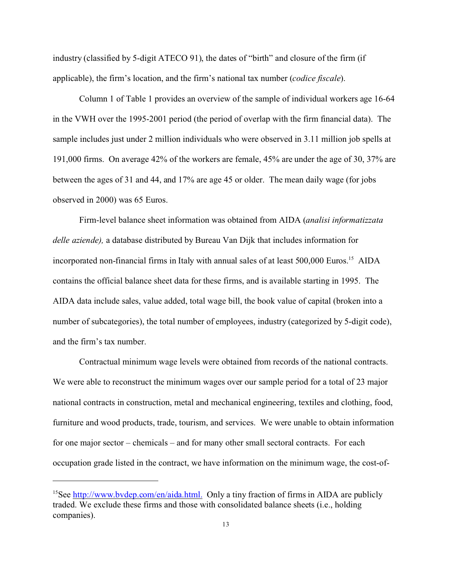industry (classified by 5-digit ATECO 91), the dates of "birth" and closure of the firm (if applicable), the firm's location, and the firm's national tax number (*codice fiscale*).

Column 1 of Table 1 provides an overview of the sample of individual workers age 16-64 in the VWH over the 1995-2001 period (the period of overlap with the firm financial data). The sample includes just under 2 million individuals who were observed in 3.11 million job spells at 191,000 firms. On average 42% of the workers are female, 45% are under the age of 30, 37% are between the ages of 31 and 44, and 17% are age 45 or older. The mean daily wage (for jobs observed in 2000) was 65 Euros.

Firm-level balance sheet information was obtained from AIDA (*analisi informatizzata delle aziende),* a database distributed by Bureau Van Dijk that includes information for incorporated non-financial firms in Italy with annual sales of at least 500,000 Euros.<sup>15</sup> AIDA contains the official balance sheet data for these firms, and is available starting in 1995. The AIDA data include sales, value added, total wage bill, the book value of capital (broken into a number of subcategories), the total number of employees, industry (categorized by 5-digit code), and the firm's tax number.

Contractual minimum wage levels were obtained from records of the national contracts. We were able to reconstruct the minimum wages over our sample period for a total of 23 major national contracts in construction, metal and mechanical engineering, textiles and clothing, food, furniture and wood products, trade, tourism, and services. We were unable to obtain information for one major sector – chemicals – and for many other small sectoral contracts. For each occupation grade listed in the contract, we have information on the minimum wage, the cost-of-

<sup>&</sup>lt;sup>15</sup>See http://www.bydep.com/en/aida.html. Only a tiny fraction of firms in AIDA are publicly traded. We exclude these firms and those with consolidated balance sheets (i.e., holding companies).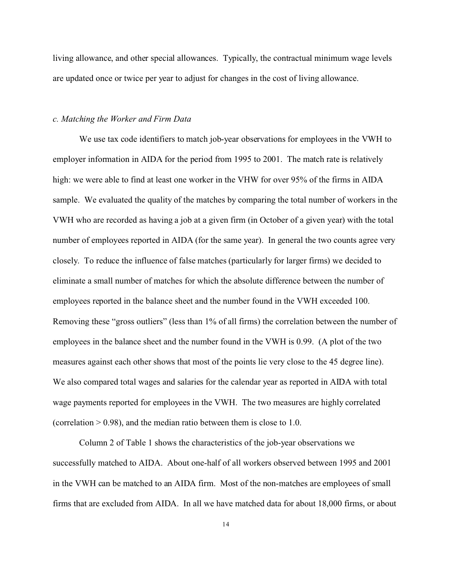living allowance, and other special allowances. Typically, the contractual minimum wage levels are updated once or twice per year to adjust for changes in the cost of living allowance.

#### *c. Matching the Worker and Firm Data*

We use tax code identifiers to match job-year observations for employees in the VWH to employer information in AIDA for the period from 1995 to 2001. The match rate is relatively high: we were able to find at least one worker in the VHW for over 95% of the firms in AIDA sample. We evaluated the quality of the matches by comparing the total number of workers in the VWH who are recorded as having a job at a given firm (in October of a given year) with the total number of employees reported in AIDA (for the same year). In general the two counts agree very closely. To reduce the influence of false matches (particularly for larger firms) we decided to eliminate a small number of matches for which the absolute difference between the number of employees reported in the balance sheet and the number found in the VWH exceeded 100. Removing these "gross outliers" (less than 1% of all firms) the correlation between the number of employees in the balance sheet and the number found in the VWH is 0.99. (A plot of the two measures against each other shows that most of the points lie very close to the 45 degree line). We also compared total wages and salaries for the calendar year as reported in AIDA with total wage payments reported for employees in the VWH. The two measures are highly correlated (correlation  $> 0.98$ ), and the median ratio between them is close to 1.0.

Column 2 of Table 1 shows the characteristics of the job-year observations we successfully matched to AIDA. About one-half of all workers observed between 1995 and 2001 in the VWH can be matched to an AIDA firm. Most of the non-matches are employees of small firms that are excluded from AIDA. In all we have matched data for about 18,000 firms, or about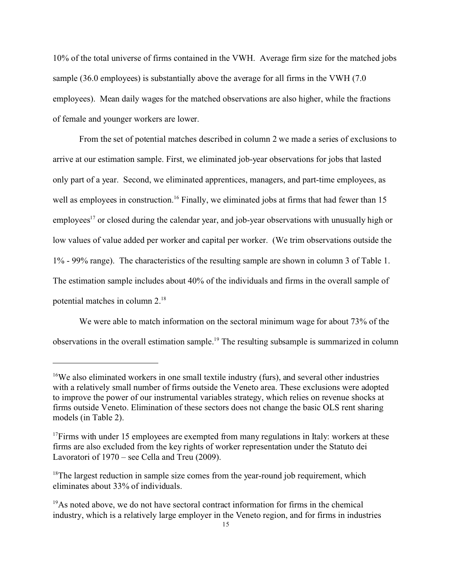10% of the total universe of firms contained in the VWH. Average firm size for the matched jobs sample (36.0 employees) is substantially above the average for all firms in the VWH (7.0) employees). Mean daily wages for the matched observations are also higher, while the fractions of female and younger workers are lower.

From the set of potential matches described in column 2 we made a series of exclusions to arrive at our estimation sample. First, we eliminated job-year observations for jobs that lasted only part of a year. Second, we eliminated apprentices, managers, and part-time employees, as well as employees in construction.<sup>16</sup> Finally, we eliminated jobs at firms that had fewer than 15 employees<sup>17</sup> or closed during the calendar year, and job-year observations with unusually high or low values of value added per worker and capital per worker. (We trim observations outside the 1% - 99% range). The characteristics of the resulting sample are shown in column 3 of Table 1. The estimation sample includes about 40% of the individuals and firms in the overall sample of potential matches in column 2.<sup>18</sup>

We were able to match information on the sectoral minimum wage for about 73% of the observations in the overall estimation sample.19 The resulting subsample is summarized in column

<sup>&</sup>lt;sup>16</sup>We also eliminated workers in one small textile industry (furs), and several other industries with a relatively small number of firms outside the Veneto area. These exclusions were adopted to improve the power of our instrumental variables strategy, which relies on revenue shocks at firms outside Veneto. Elimination of these sectors does not change the basic OLS rent sharing models (in Table 2).

 $17$ Firms with under 15 employees are exempted from many regulations in Italy: workers at these firms are also excluded from the key rights of worker representation under the Statuto dei Lavoratori of 1970 – see Cella and Treu (2009).

<sup>&</sup>lt;sup>18</sup>The largest reduction in sample size comes from the year-round job requirement, which eliminates about 33% of individuals.

<sup>&</sup>lt;sup>19</sup>As noted above, we do not have sectoral contract information for firms in the chemical industry, which is a relatively large employer in the Veneto region, and for firms in industries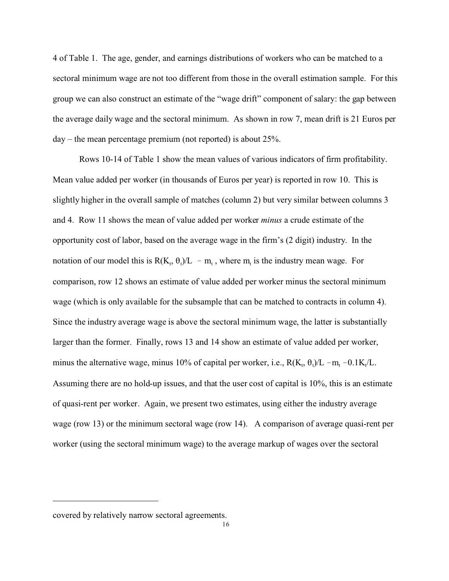4 of Table 1. The age, gender, and earnings distributions of workers who can be matched to a sectoral minimum wage are not too different from those in the overall estimation sample. For this group we can also construct an estimate of the "wage drift" component of salary: the gap between the average daily wage and the sectoral minimum. As shown in row 7, mean drift is 21 Euros per  $day -$  the mean percentage premium (not reported) is about 25%.

Rows 10-14 of Table 1 show the mean values of various indicators of firm profitability. Mean value added per worker (in thousands of Euros per year) is reported in row 10. This is slightly higher in the overall sample of matches (column 2) but very similar between columns 3 and 4. Row 11 shows the mean of value added per worker *minus* a crude estimate of the opportunity cost of labor, based on the average wage in the firm's (2 digit) industry. In the notation of our model this is  $R(K_t, \theta_t)/L - m_t$ , where  $m_t$  is the industry mean wage. For comparison, row 12 shows an estimate of value added per worker minus the sectoral minimum wage (which is only available for the subsample that can be matched to contracts in column 4). Since the industry average wage is above the sectoral minimum wage, the latter is substantially larger than the former. Finally, rows 13 and 14 show an estimate of value added per worker, minus the alternative wage, minus 10% of capital per worker, i.e.,  $R(K_t, \theta_t)/L - m_t - 0.1K_t/L$ . Assuming there are no hold-up issues, and that the user cost of capital is 10%, this is an estimate of quasi-rent per worker. Again, we present two estimates, using either the industry average wage (row 13) or the minimum sectoral wage (row 14). A comparison of average quasi-rent per worker (using the sectoral minimum wage) to the average markup of wages over the sectoral

covered by relatively narrow sectoral agreements.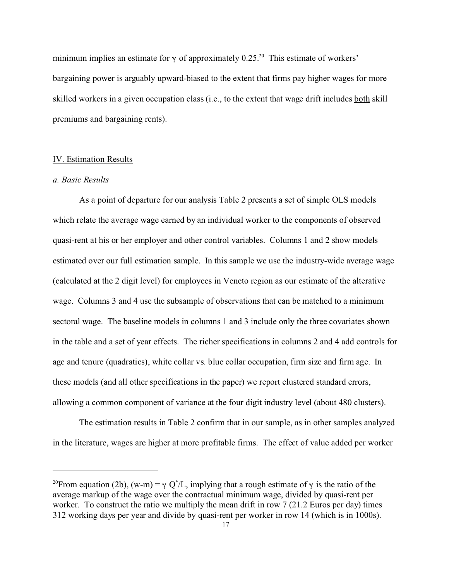minimum implies an estimate for  $\gamma$  of approximately 0.25.<sup>20</sup> This estimate of workers' bargaining power is arguably upward-biased to the extent that firms pay higher wages for more skilled workers in a given occupation class (i.e., to the extent that wage drift includes both skill premiums and bargaining rents).

#### IV. Estimation Results

#### *a. Basic Results*

As a point of departure for our analysis Table 2 presents a set of simple OLS models which relate the average wage earned by an individual worker to the components of observed quasi-rent at his or her employer and other control variables. Columns 1 and 2 show models estimated over our full estimation sample. In this sample we use the industry-wide average wage (calculated at the 2 digit level) for employees in Veneto region as our estimate of the alterative wage. Columns 3 and 4 use the subsample of observations that can be matched to a minimum sectoral wage. The baseline models in columns 1 and 3 include only the three covariates shown in the table and a set of year effects. The richer specifications in columns 2 and 4 add controls for age and tenure (quadratics), white collar vs. blue collar occupation, firm size and firm age. In these models (and all other specifications in the paper) we report clustered standard errors, allowing a common component of variance at the four digit industry level (about 480 clusters).

The estimation results in Table 2 confirm that in our sample, as in other samples analyzed in the literature, wages are higher at more profitable firms. The effect of value added per worker

<sup>&</sup>lt;sup>20</sup>From equation (2b), (w-m) =  $\gamma$  Q<sup>\*</sup>/L, implying that a rough estimate of  $\gamma$  is the ratio of the average markup of the wage over the contractual minimum wage, divided by quasi-rent per worker. To construct the ratio we multiply the mean drift in row 7 (21.2 Euros per day) times 312 working days per year and divide by quasi-rent per worker in row 14 (which is in 1000s).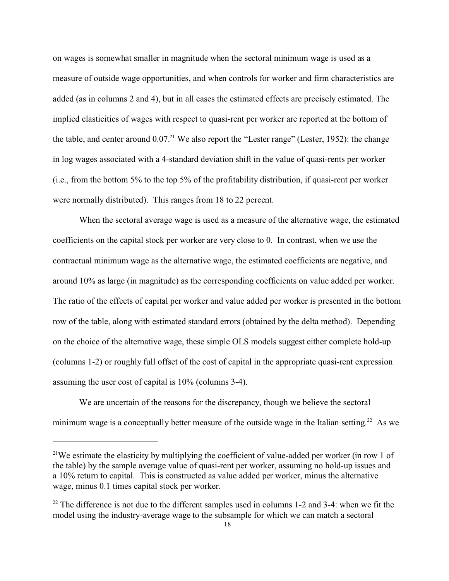on wages is somewhat smaller in magnitude when the sectoral minimum wage is used as a measure of outside wage opportunities, and when controls for worker and firm characteristics are added (as in columns 2 and 4), but in all cases the estimated effects are precisely estimated. The implied elasticities of wages with respect to quasi-rent per worker are reported at the bottom of the table, and center around  $0.07<sup>21</sup>$  We also report the "Lester range" (Lester, 1952): the change in log wages associated with a 4-standard deviation shift in the value of quasi-rents per worker (i.e., from the bottom 5% to the top 5% of the profitability distribution, if quasi-rent per worker were normally distributed). This ranges from 18 to 22 percent.

When the sectoral average wage is used as a measure of the alternative wage, the estimated coefficients on the capital stock per worker are very close to 0. In contrast, when we use the contractual minimum wage as the alternative wage, the estimated coefficients are negative, and around 10% as large (in magnitude) as the corresponding coefficients on value added per worker. The ratio of the effects of capital per worker and value added per worker is presented in the bottom row of the table, along with estimated standard errors (obtained by the delta method). Depending on the choice of the alternative wage, these simple OLS models suggest either complete hold-up (columns 1-2) or roughly full offset of the cost of capital in the appropriate quasi-rent expression assuming the user cost of capital is 10% (columns 3-4).

We are uncertain of the reasons for the discrepancy, though we believe the sectoral minimum wage is a conceptually better measure of the outside wage in the Italian setting.<sup>22</sup> As we

<sup>&</sup>lt;sup>21</sup>We estimate the elasticity by multiplying the coefficient of value-added per worker (in row 1 of the table) by the sample average value of quasi-rent per worker, assuming no hold-up issues and a 10% return to capital. This is constructed as value added per worker, minus the alternative wage, minus 0.1 times capital stock per worker.

 $22$  The difference is not due to the different samples used in columns 1-2 and 3-4: when we fit the model using the industry-average wage to the subsample for which we can match a sectoral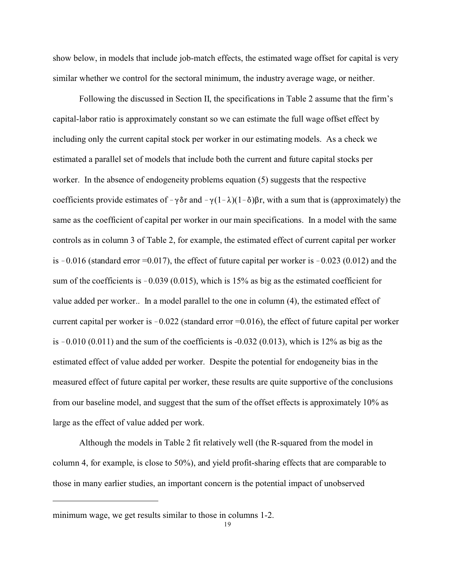show below, in models that include job-match effects, the estimated wage offset for capital is very similar whether we control for the sectoral minimum, the industry average wage, or neither.

Following the discussed in Section II, the specifications in Table 2 assume that the firm's capital-labor ratio is approximately constant so we can estimate the full wage offset effect by including only the current capital stock per worker in our estimating models. As a check we estimated a parallel set of models that include both the current and future capital stocks per worker. In the absence of endogeneity problems equation (5) suggests that the respective coefficients provide estimates of  $-\gamma \delta r$  and  $-\gamma(1-\lambda)(1-\delta)\beta r$ , with a sum that is (approximately) the same as the coefficient of capital per worker in our main specifications. In a model with the same controls as in column 3 of Table 2, for example, the estimated effect of current capital per worker is  $-0.016$  (standard error  $=0.017$ ), the effect of future capital per worker is  $-0.023$  (0.012) and the sum of the coefficients is  $-0.039 (0.015)$ , which is 15% as big as the estimated coefficient for value added per worker.. In a model parallel to the one in column (4), the estimated effect of current capital per worker is  $-0.022$  (standard error  $=0.016$ ), the effect of future capital per worker is  $-0.010$  (0.011) and the sum of the coefficients is  $-0.032$  (0.013), which is 12% as big as the estimated effect of value added per worker. Despite the potential for endogeneity bias in the measured effect of future capital per worker, these results are quite supportive of the conclusions from our baseline model, and suggest that the sum of the offset effects is approximately 10% as large as the effect of value added per work.

Although the models in Table 2 fit relatively well (the R-squared from the model in column 4, for example, is close to 50%), and yield profit-sharing effects that are comparable to those in many earlier studies, an important concern is the potential impact of unobserved

minimum wage, we get results similar to those in columns 1-2.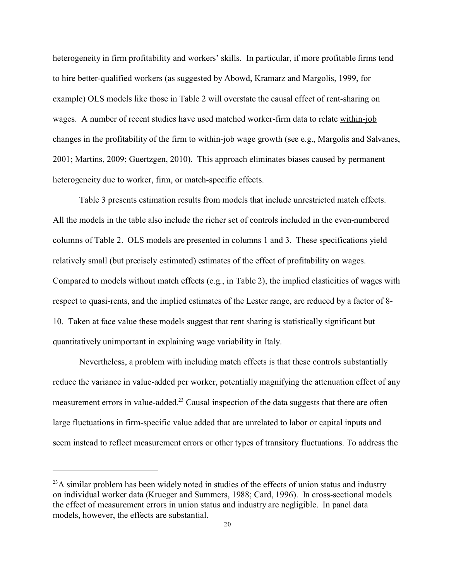heterogeneity in firm profitability and workers' skills. In particular, if more profitable firms tend to hire better-qualified workers (as suggested by Abowd, Kramarz and Margolis, 1999, for example) OLS models like those in Table 2 will overstate the causal effect of rent-sharing on wages. A number of recent studies have used matched worker-firm data to relate within-job changes in the profitability of the firm to within-job wage growth (see e.g., Margolis and Salvanes, 2001; Martins, 2009; Guertzgen, 2010). This approach eliminates biases caused by permanent heterogeneity due to worker, firm, or match-specific effects.

Table 3 presents estimation results from models that include unrestricted match effects. All the models in the table also include the richer set of controls included in the even-numbered columns of Table 2. OLS models are presented in columns 1 and 3. These specifications yield relatively small (but precisely estimated) estimates of the effect of profitability on wages. Compared to models without match effects (e.g., in Table 2), the implied elasticities of wages with respect to quasi-rents, and the implied estimates of the Lester range, are reduced by a factor of 8- 10. Taken at face value these models suggest that rent sharing is statistically significant but quantitatively unimportant in explaining wage variability in Italy.

Nevertheless, a problem with including match effects is that these controls substantially reduce the variance in value-added per worker, potentially magnifying the attenuation effect of any measurement errors in value-added.<sup>23</sup> Causal inspection of the data suggests that there are often large fluctuations in firm-specific value added that are unrelated to labor or capital inputs and seem instead to reflect measurement errors or other types of transitory fluctuations. To address the

 $^{23}$ A similar problem has been widely noted in studies of the effects of union status and industry on individual worker data (Krueger and Summers, 1988; Card, 1996). In cross-sectional models the effect of measurement errors in union status and industry are negligible. In panel data models, however, the effects are substantial.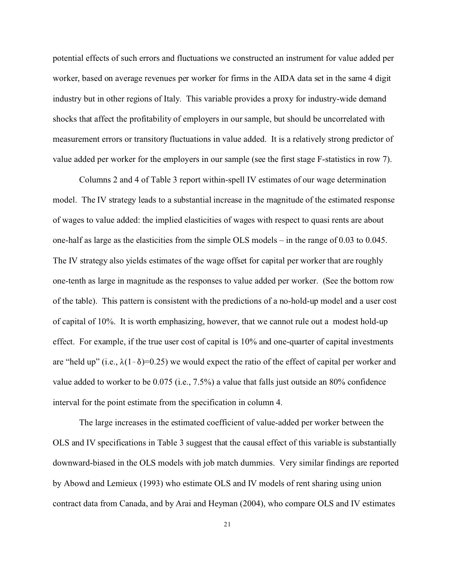potential effects of such errors and fluctuations we constructed an instrument for value added per worker, based on average revenues per worker for firms in the AIDA data set in the same 4 digit industry but in other regions of Italy. This variable provides a proxy for industry-wide demand shocks that affect the profitability of employers in our sample, but should be uncorrelated with measurement errors or transitory fluctuations in value added. It is a relatively strong predictor of value added per worker for the employers in our sample (see the first stage F-statistics in row 7).

Columns 2 and 4 of Table 3 report within-spell IV estimates of our wage determination model. The IV strategy leads to a substantial increase in the magnitude of the estimated response of wages to value added: the implied elasticities of wages with respect to quasi rents are about one-half as large as the elasticities from the simple OLS models – in the range of 0.03 to 0.045. The IV strategy also yields estimates of the wage offset for capital per worker that are roughly one-tenth as large in magnitude as the responses to value added per worker. (See the bottom row of the table). This pattern is consistent with the predictions of a no-hold-up model and a user cost of capital of 10%. It is worth emphasizing, however, that we cannot rule out a modest hold-up effect. For example, if the true user cost of capital is 10% and one-quarter of capital investments are "held up" (i.e.,  $\lambda(1-\delta)=0.25$ ) we would expect the ratio of the effect of capital per worker and value added to worker to be 0.075 (i.e., 7.5%) a value that falls just outside an 80% confidence interval for the point estimate from the specification in column 4.

The large increases in the estimated coefficient of value-added per worker between the OLS and IV specifications in Table 3 suggest that the causal effect of this variable is substantially downward-biased in the OLS models with job match dummies. Very similar findings are reported by Abowd and Lemieux (1993) who estimate OLS and IV models of rent sharing using union contract data from Canada, and by Arai and Heyman (2004), who compare OLS and IV estimates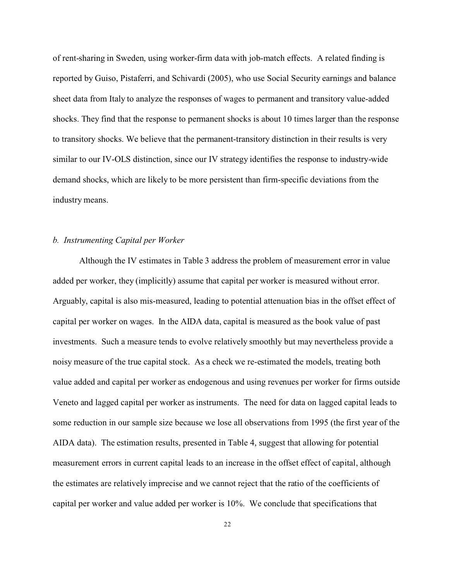of rent-sharing in Sweden, using worker-firm data with job-match effects. A related finding is reported by Guiso, Pistaferri, and Schivardi (2005), who use Social Security earnings and balance sheet data from Italy to analyze the responses of wages to permanent and transitory value-added shocks. They find that the response to permanent shocks is about 10 times larger than the response to transitory shocks. We believe that the permanent-transitory distinction in their results is very similar to our IV-OLS distinction, since our IV strategy identifies the response to industry-wide demand shocks, which are likely to be more persistent than firm-specific deviations from the industry means.

#### *b. Instrumenting Capital per Worker*

Although the IV estimates in Table 3 address the problem of measurement error in value added per worker, they (implicitly) assume that capital per worker is measured without error. Arguably, capital is also mis-measured, leading to potential attenuation bias in the offset effect of capital per worker on wages. In the AIDA data, capital is measured as the book value of past investments. Such a measure tends to evolve relatively smoothly but may nevertheless provide a noisy measure of the true capital stock. As a check we re-estimated the models, treating both value added and capital per worker as endogenous and using revenues per worker for firms outside Veneto and lagged capital per worker as instruments. The need for data on lagged capital leads to some reduction in our sample size because we lose all observations from 1995 (the first year of the AIDA data). The estimation results, presented in Table 4, suggest that allowing for potential measurement errors in current capital leads to an increase in the offset effect of capital, although the estimates are relatively imprecise and we cannot reject that the ratio of the coefficients of capital per worker and value added per worker is 10%. We conclude that specifications that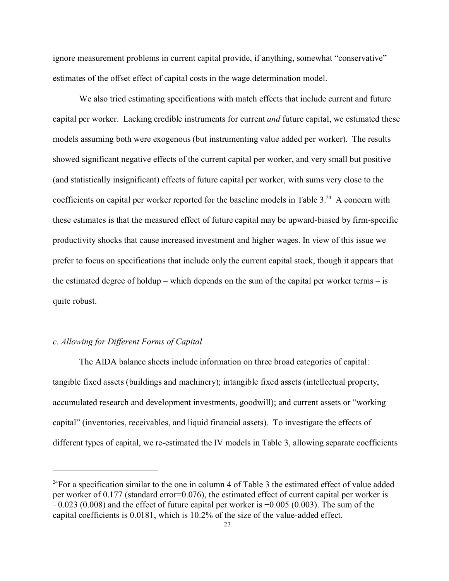ignore measurement problems in current capital provide, if anything, somewhat "conservative" estimates of the offset effect of capital costs in the wage determination model.

We also tried estimating specifications with match effects that include current and future capital per worker. Lacking credible instruments for current *and* future capital, we estimated these models assuming both were exogenous (but instrumenting value added per worker). The results showed significant negative effects of the current capital per worker, and very small but positive (and statistically insignificant) effects of future capital per worker, with sums very close to the coefficients on capital per worker reported for the baseline models in Table  $3<sup>24</sup>$ . A concern with these estimates is that the measured effect of future capital may be upward-biased by firm-specific productivity shocks that cause increased investment and higher wages. In view of this issue we prefer to focus on specifications that include only the current capital stock, though it appears that the estimated degree of holdup – which depends on the sum of the capital per worker terms – is quite robust.

#### *c. Allowing for Different Forms of Capital*

The AIDA balance sheets include information on three broad categories of capital: tangible fixed assets (buildings and machinery); intangible fixed assets (intellectual property, accumulated research and development investments, goodwill); and current assets or "working capital" (inventories, receivables, and liquid financial assets). To investigate the effects of different types of capital, we re-estimated the IV models in Table 3, allowing separate coefficients

 $^{24}$ For a specification similar to the one in column 4 of Table 3 the estimated effect of value added per worker of 0.177 (standard error=0.076), the estimated effect of current capital per worker is  $-0.023$  (0.008) and the effect of future capital per worker is  $+0.005$  (0.003). The sum of the capital coefficients is 0.0181, which is 10.2% of the size of the value-added effect.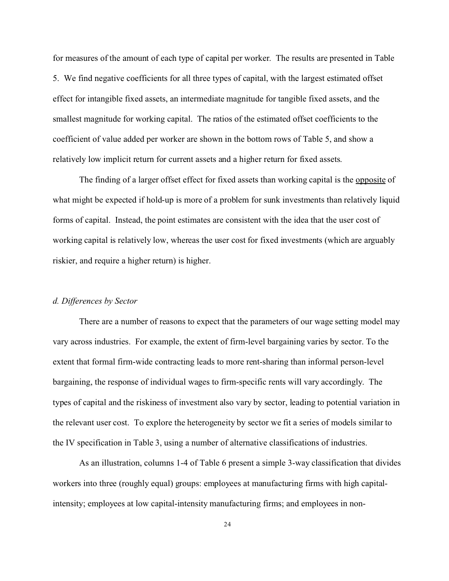for measures of the amount of each type of capital per worker. The results are presented in Table 5. We find negative coefficients for all three types of capital, with the largest estimated offset effect for intangible fixed assets, an intermediate magnitude for tangible fixed assets, and the smallest magnitude for working capital. The ratios of the estimated offset coefficients to the coefficient of value added per worker are shown in the bottom rows of Table 5, and show a relatively low implicit return for current assets and a higher return for fixed assets.

The finding of a larger offset effect for fixed assets than working capital is the opposite of what might be expected if hold-up is more of a problem for sunk investments than relatively liquid forms of capital. Instead, the point estimates are consistent with the idea that the user cost of working capital is relatively low, whereas the user cost for fixed investments (which are arguably riskier, and require a higher return) is higher.

#### *d. Differences by Sector*

There are a number of reasons to expect that the parameters of our wage setting model may vary across industries. For example, the extent of firm-level bargaining varies by sector. To the extent that formal firm-wide contracting leads to more rent-sharing than informal person-level bargaining, the response of individual wages to firm-specific rents will vary accordingly. The types of capital and the riskiness of investment also vary by sector, leading to potential variation in the relevant user cost. To explore the heterogeneity by sector we fit a series of models similar to the IV specification in Table 3, using a number of alternative classifications of industries.

As an illustration, columns 1-4 of Table 6 present a simple 3-way classification that divides workers into three (roughly equal) groups: employees at manufacturing firms with high capitalintensity; employees at low capital-intensity manufacturing firms; and employees in non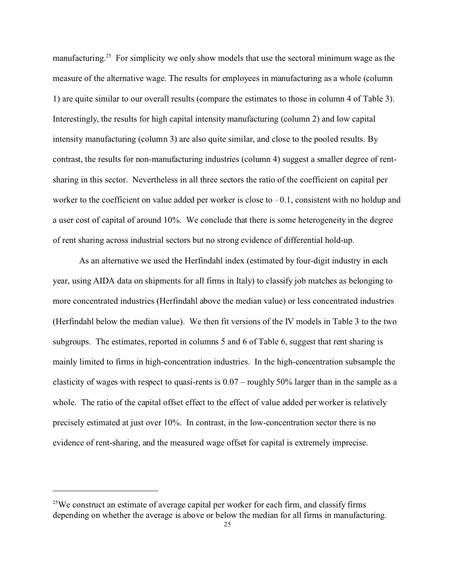manufacturing.<sup>25</sup> For simplicity we only show models that use the sectoral minimum wage as the measure of the alternative wage. The results for employees in manufacturing as a whole (column 1) are quite similar to our overall results (compare the estimates to those in column 4 of Table 3). Interestingly, the results for high capital intensity manufacturing (column 2) and low capital intensity manufacturing (column 3) are also quite similar, and close to the pooled results. By contrast, the results for non-manufacturing industries (column 4) suggest a smaller degree of rentsharing in this sector. Nevertheless in all three sectors the ratio of the coefficient on capital per worker to the coefficient on value added per worker is close to  $-0.1$ , consistent with no holdup and a user cost of capital of around 10%. We conclude that there is some heterogeneity in the degree of rent sharing across industrial sectors but no strong evidence of differential hold-up.

As an alternative we used the Herfindahl index (estimated by four-digit industry in each year, using AIDA data on shipments for all firms in Italy) to classify job matches as belonging to more concentrated industries (Herfindahl above the median value) or less concentrated industries (Herfindahl below the median value). We then fit versions of the IV models in Table 3 to the two subgroups. The estimates, reported in columns 5 and 6 of Table 6, suggest that rent sharing is mainly limited to firms in high-concentration industries. In the high-concentration subsample the elasticity of wages with respect to quasi-rents is 0.07 – roughly 50% larger than in the sample as a whole. The ratio of the capital offset effect to the effect of value added per worker is relatively precisely estimated at just over 10%. In contrast, in the low-concentration sector there is no evidence of rent-sharing, and the measured wage offset for capital is extremely imprecise.

<sup>&</sup>lt;sup>25</sup>We construct an estimate of average capital per worker for each firm, and classify firms depending on whether the average is above or below the median for all firms in manufacturing.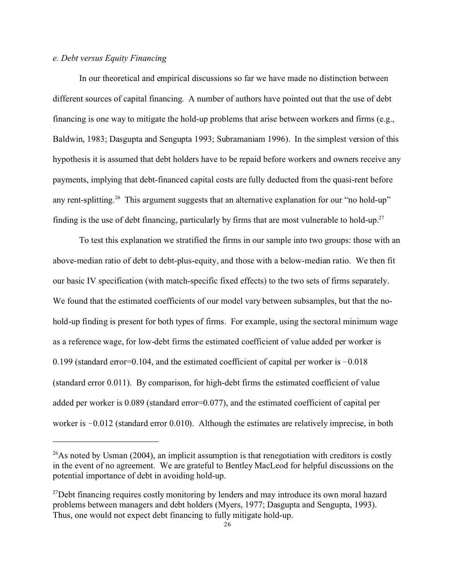#### *e. Debt versus Equity Financing*

In our theoretical and empirical discussions so far we have made no distinction between different sources of capital financing. A number of authors have pointed out that the use of debt financing is one way to mitigate the hold-up problems that arise between workers and firms (e.g., Baldwin, 1983; Dasgupta and Sengupta 1993; Subramaniam 1996). In the simplest version of this hypothesis it is assumed that debt holders have to be repaid before workers and owners receive any payments, implying that debt-financed capital costs are fully deducted from the quasi-rent before any rent-splitting.<sup>26</sup> This argument suggests that an alternative explanation for our "no hold-up" finding is the use of debt financing, particularly by firms that are most vulnerable to hold-up.<sup>27</sup>

To test this explanation we stratified the firms in our sample into two groups: those with an above-median ratio of debt to debt-plus-equity, and those with a below-median ratio. We then fit our basic IV specification (with match-specific fixed effects) to the two sets of firms separately. We found that the estimated coefficients of our model vary between subsamples, but that the nohold-up finding is present for both types of firms. For example, using the sectoral minimum wage as a reference wage, for low-debt firms the estimated coefficient of value added per worker is 0.199 (standard error=0.104, and the estimated coefficient of capital per worker is  $-0.018$ (standard error 0.011). By comparison, for high-debt firms the estimated coefficient of value added per worker is 0.089 (standard error=0.077), and the estimated coefficient of capital per worker is  $-0.012$  (standard error 0.010). Although the estimates are relatively imprecise, in both

 $26$ As noted by Usman (2004), an implicit assumption is that renegotiation with creditors is costly in the event of no agreement. We are grateful to Bentley MacLeod for helpful discussions on the potential importance of debt in avoiding hold-up.

<sup>&</sup>lt;sup>27</sup>Debt financing requires costly monitoring by lenders and may introduce its own moral hazard problems between managers and debt holders (Myers, 1977; Dasgupta and Sengupta, 1993). Thus, one would not expect debt financing to fully mitigate hold-up.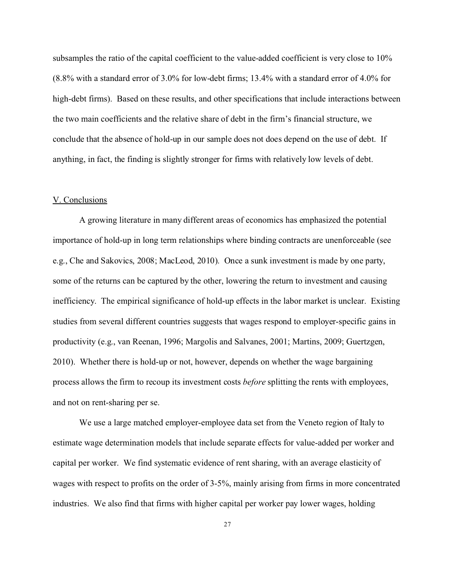subsamples the ratio of the capital coefficient to the value-added coefficient is very close to 10% (8.8% with a standard error of 3.0% for low-debt firms; 13.4% with a standard error of 4.0% for high-debt firms). Based on these results, and other specifications that include interactions between the two main coefficients and the relative share of debt in the firm's financial structure, we conclude that the absence of hold-up in our sample does not does depend on the use of debt. If anything, in fact, the finding is slightly stronger for firms with relatively low levels of debt.

#### V. Conclusions

A growing literature in many different areas of economics has emphasized the potential importance of hold-up in long term relationships where binding contracts are unenforceable (see e.g., Che and Sakovics, 2008; MacLeod, 2010). Once a sunk investment is made by one party, some of the returns can be captured by the other, lowering the return to investment and causing inefficiency. The empirical significance of hold-up effects in the labor market is unclear. Existing studies from several different countries suggests that wages respond to employer-specific gains in productivity (e.g., van Reenan, 1996; Margolis and Salvanes, 2001; Martins, 2009; Guertzgen, 2010). Whether there is hold-up or not, however, depends on whether the wage bargaining process allows the firm to recoup its investment costs *before* splitting the rents with employees, and not on rent-sharing per se.

We use a large matched employer-employee data set from the Veneto region of Italy to estimate wage determination models that include separate effects for value-added per worker and capital per worker. We find systematic evidence of rent sharing, with an average elasticity of wages with respect to profits on the order of 3-5%, mainly arising from firms in more concentrated industries. We also find that firms with higher capital per worker pay lower wages, holding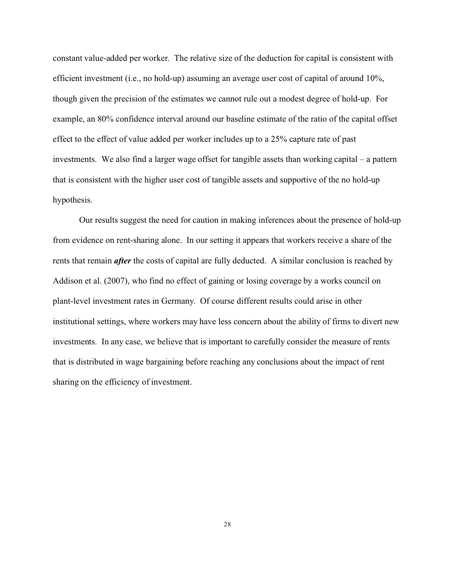constant value-added per worker. The relative size of the deduction for capital is consistent with efficient investment (i.e., no hold-up) assuming an average user cost of capital of around 10%, though given the precision of the estimates we cannot rule out a modest degree of hold-up. For example, an 80% confidence interval around our baseline estimate of the ratio of the capital offset effect to the effect of value added per worker includes up to a 25% capture rate of past investments. We also find a larger wage offset for tangible assets than working capital – a pattern that is consistent with the higher user cost of tangible assets and supportive of the no hold-up hypothesis.

Our results suggest the need for caution in making inferences about the presence of hold-up from evidence on rent-sharing alone. In our setting it appears that workers receive a share of the rents that remain *after* the costs of capital are fully deducted. A similar conclusion is reached by Addison et al. (2007), who find no effect of gaining or losing coverage by a works council on plant-level investment rates in Germany. Of course different results could arise in other institutional settings, where workers may have less concern about the ability of firms to divert new investments. In any case, we believe that is important to carefully consider the measure of rents that is distributed in wage bargaining before reaching any conclusions about the impact of rent sharing on the efficiency of investment.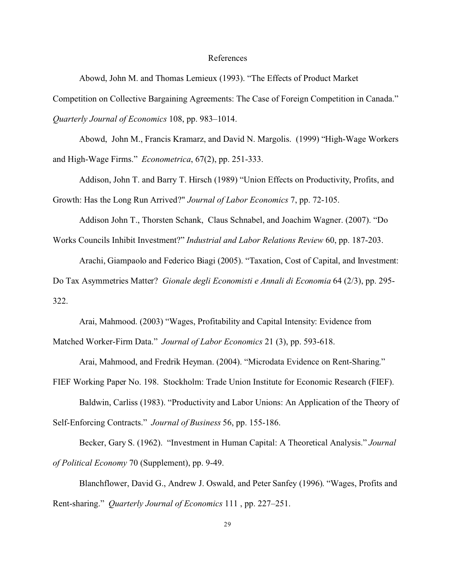#### References

Abowd, John M. and Thomas Lemieux (1993). "The Effects of Product Market

Competition on Collective Bargaining Agreements: The Case of Foreign Competition in Canada."

*Quarterly Journal of Economics* 108, pp. 983–1014.

Abowd, John M., Francis Kramarz, and David N. Margolis. (1999) "High-Wage Workers and High-Wage Firms." *Econometrica*, 67(2), pp. 251-333.

Addison, John T. and Barry T. Hirsch (1989) "Union Effects on Productivity, Profits, and Growth: Has the Long Run Arrived?" *Journal of Labor Economics* 7, pp. 72-105.

Addison John T., Thorsten Schank, Claus Schnabel, and Joachim Wagner. (2007). "Do

Works Councils Inhibit Investment?" *Industrial and Labor Relations Review* 60, pp. 187-203.

Arachi, Giampaolo and Federico Biagi (2005). "Taxation, Cost of Capital, and Investment:

Do Tax Asymmetries Matter? *Gionale degli Economisti e Annali di Economia* 64 (2/3), pp. 295- 322.

Arai, Mahmood. (2003) "Wages, Profitability and Capital Intensity: Evidence from Matched Worker-Firm Data." *Journal of Labor Economics* 21 (3), pp. 593-618.

Arai, Mahmood, and Fredrik Heyman. (2004). "Microdata Evidence on Rent-Sharing."

FIEF Working Paper No. 198. Stockholm: Trade Union Institute for Economic Research (FIEF). Baldwin, Carliss (1983). "Productivity and Labor Unions: An Application of the Theory of Self-Enforcing Contracts." *Journal of Business* 56, pp. 155-186.

Becker, Gary S. (1962). "Investment in Human Capital: A Theoretical Analysis." *Journal of Political Economy* 70 (Supplement), pp. 9-49.

Blanchflower, David G., Andrew J. Oswald, and Peter Sanfey (1996). "Wages, Profits and Rent-sharing." *Quarterly Journal of Economics* 111 , pp. 227–251.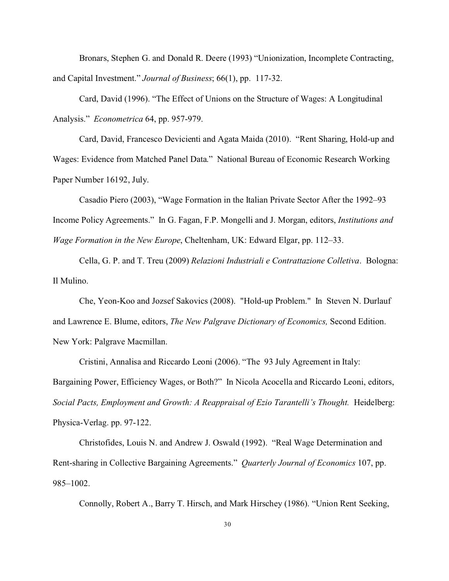Bronars, Stephen G. and Donald R. Deere (1993) "Unionization, Incomplete Contracting, and Capital Investment." *Journal of Business*; 66(1), pp. 117-32.

Card, David (1996). "The Effect of Unions on the Structure of Wages: A Longitudinal Analysis." *Econometrica* 64, pp. 957-979.

Card, David, Francesco Devicienti and Agata Maida (2010). "Rent Sharing, Hold-up and Wages: Evidence from Matched Panel Data." National Bureau of Economic Research Working Paper Number 16192, July.

Casadio Piero (2003), "Wage Formation in the Italian Private Sector After the 1992–93 Income Policy Agreements." In G. Fagan, F.P. Mongelli and J. Morgan, editors, *Institutions and Wage Formation in the New Europe*, Cheltenham, UK: Edward Elgar, pp. 112–33.

Cella, G. P. and T. Treu (2009) *Relazioni Industriali e Contrattazione Colletiva*. Bologna: Il Mulino.

Che, Yeon-Koo and Jozsef Sakovics (2008). "Hold-up Problem." In Steven N. Durlauf and Lawrence E. Blume, editors, *The New Palgrave Dictionary of Economics,* Second Edition. New York: Palgrave Macmillan.

Cristini, Annalisa and Riccardo Leoni (2006). "The 93 July Agreement in Italy: Bargaining Power, Efficiency Wages, or Both?" In Nicola Acocella and Riccardo Leoni, editors, Social Pacts, Employment and Growth: A Reappraisal of Ezio Tarantelli's Thought. Heidelberg: Physica-Verlag. pp. 97-122.

Christofides, Louis N. and Andrew J. Oswald (1992). "Real Wage Determination and Rent-sharing in Collective Bargaining Agreements." *Quarterly Journal of Economics* 107, pp. 985–1002.

Connolly, Robert A., Barry T. Hirsch, and Mark Hirschey (1986). "Union Rent Seeking,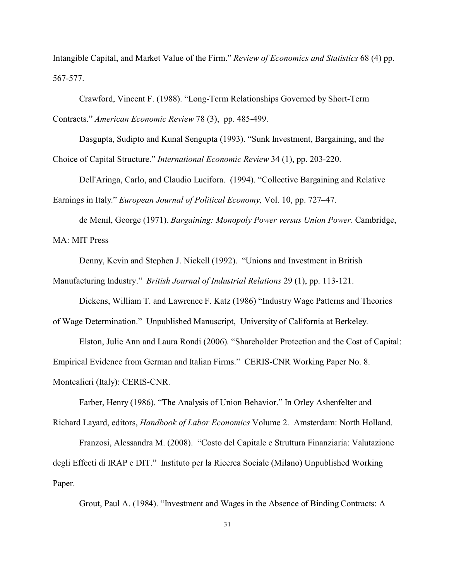Intangible Capital, and Market Value of the Firm." *Review of Economics and Statistics* 68 (4) pp. 567-577.

Crawford, Vincent F. (1988). "Long-Term Relationships Governed by Short-Term Contracts." *American Economic Review* 78 (3), pp. 485-499.

Dasgupta, Sudipto and Kunal Sengupta (1993). "Sunk Investment, Bargaining, and the

Choice of Capital Structure." *International Economic Review* 34 (1), pp. 203-220.

Dell'Aringa, Carlo, and Claudio Lucifora. (1994). "Collective Bargaining and Relative Earnings in Italy." *European Journal of Political Economy,* Vol. 10, pp. 727–47.

de Menil, George (1971). *Bargaining: Monopoly Power versus Union Power*. Cambridge, MA: MIT Press

Denny, Kevin and Stephen J. Nickell (1992). "Unions and Investment in British

Manufacturing Industry." *British Journal of Industrial Relations* 29 (1), pp. 113-121.

Dickens, William T. and Lawrence F. Katz (1986) "Industry Wage Patterns and Theories

of Wage Determination." Unpublished Manuscript, University of California at Berkeley.

Elston, Julie Ann and Laura Rondi (2006). "Shareholder Protection and the Cost of Capital: Empirical Evidence from German and Italian Firms." CERIS-CNR Working Paper No. 8. Montcalieri (Italy): CERIS-CNR.

Farber, Henry (1986). "The Analysis of Union Behavior." In Orley Ashenfelter and

Richard Layard, editors, *Handbook of Labor Economics* Volume 2. Amsterdam: North Holland.

Franzosi, Alessandra M. (2008). "Costo del Capitale e Struttura Finanziaria: Valutazione degli Effecti di IRAP e DIT." Instituto per la Ricerca Sociale (Milano) Unpublished Working Paper.

Grout, Paul A. (1984). "Investment and Wages in the Absence of Binding Contracts: A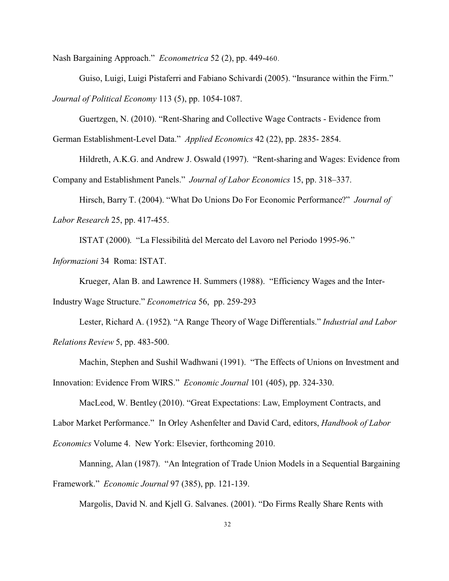Nash Bargaining Approach." *Econometrica* 52 (2), pp. 449-460.

Guiso, Luigi, Luigi Pistaferri and Fabiano Schivardi (2005). "Insurance within the Firm." *Journal of Political Economy* 113 (5), pp. 1054-1087.

Guertzgen, N. (2010). "Rent-Sharing and Collective Wage Contracts - Evidence from

German Establishment-Level Data." *Applied Economics* 42 (22), pp. 2835- 2854.

Hildreth, A.K.G. and Andrew J. Oswald (1997). "Rent-sharing and Wages: Evidence from Company and Establishment Panels." *Journal of Labor Economics* 15, pp. 318–337.

Hirsch, Barry T. (2004). "What Do Unions Do For Economic Performance?" *Journal of Labor Research* 25, pp. 417-455.

ISTAT (2000). "La Flessibilità del Mercato del Lavoro nel Periodo 1995-96."

*Informazioni* 34 Roma: ISTAT.

Krueger, Alan B. and Lawrence H. Summers (1988). "Efficiency Wages and the Inter-

Industry Wage Structure." *Econometrica* 56, pp. 259-293

Lester, Richard A. (1952). "A Range Theory of Wage Differentials." *Industrial and Labor Relations Review* 5, pp. 483-500.

Machin, Stephen and Sushil Wadhwani (1991). "The Effects of Unions on Investment and Innovation: Evidence From WIRS." *Economic Journal* 101 (405), pp. 324-330.

MacLeod, W. Bentley (2010). "Great Expectations: Law, Employment Contracts, and Labor Market Performance." In Orley Ashenfelter and David Card, editors, *Handbook of Labor Economics* Volume 4. New York: Elsevier, forthcoming 2010.

Manning, Alan (1987). "An Integration of Trade Union Models in a Sequential Bargaining Framework." *Economic Journal* 97 (385), pp. 121-139.

Margolis, David N. and Kjell G. Salvanes. (2001). "Do Firms Really Share Rents with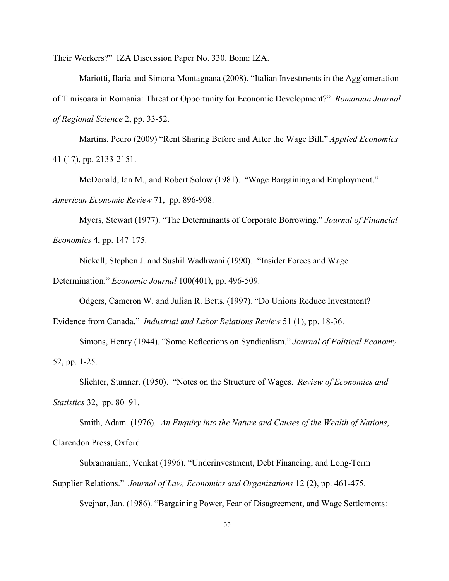Their Workers?" IZA Discussion Paper No. 330. Bonn: IZA.

Mariotti, Ilaria and Simona Montagnana (2008). "Italian Investments in the Agglomeration of Timisoara in Romania: Threat or Opportunity for Economic Development?" *Romanian Journal of Regional Science* 2, pp. 33-52.

Martins, Pedro (2009) "Rent Sharing Before and After the Wage Bill." *Applied Economics* 41 (17), pp. 2133-2151.

McDonald, Ian M., and Robert Solow (1981). "Wage Bargaining and Employment." *American Economic Review* 71, pp. 896-908.

Myers, Stewart (1977). "The Determinants of Corporate Borrowing." *Journal of Financial Economics* 4, pp. 147-175.

Nickell, Stephen J. and Sushil Wadhwani (1990). "Insider Forces and Wage

Determination." *Economic Journal* 100(401), pp. 496-509.

Odgers, Cameron W. and Julian R. Betts. (1997). "Do Unions Reduce Investment?

Evidence from Canada." *Industrial and Labor Relations Review* 51 (1), pp. 18-36.

Simons, Henry (1944). "Some Reflections on Syndicalism." *Journal of Political Economy* 52, pp. 1-25.

Slichter, Sumner. (1950). "Notes on the Structure of Wages. *Review of Economics and Statistics* 32, pp. 80–91.

Smith, Adam. (1976). *An Enquiry into the Nature and Causes of the Wealth of Nations*, Clarendon Press, Oxford.

Subramaniam, Venkat (1996). "Underinvestment, Debt Financing, and Long-Term

Supplier Relations." *Journal of Law, Economics and Organizations* 12 (2), pp. 461-475.

Svejnar, Jan. (1986). "Bargaining Power, Fear of Disagreement, and Wage Settlements: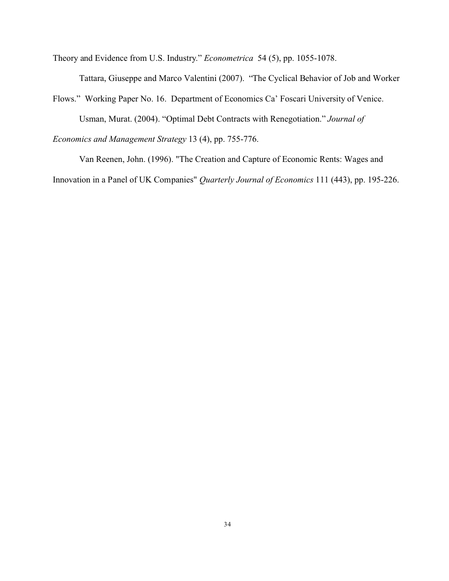Theory and Evidence from U.S. Industry." *Econometrica* 54 (5), pp. 1055-1078.

Tattara, Giuseppe and Marco Valentini (2007). "The Cyclical Behavior of Job and Worker

Flows." Working Paper No. 16. Department of Economics Ca' Foscari University of Venice.

Usman, Murat. (2004). "Optimal Debt Contracts with Renegotiation." *Journal of*

*Economics and Management Strategy* 13 (4), pp. 755-776.

Van Reenen, John. (1996). "The Creation and Capture of Economic Rents: Wages and Innovation in a Panel of UK Companies" *Quarterly Journal of Economics* 111 (443), pp. 195-226.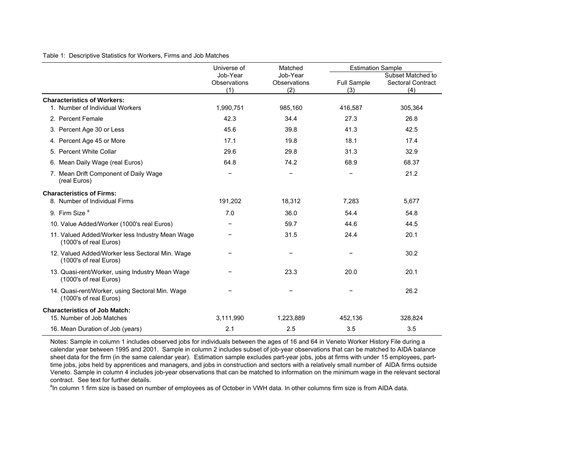Table 1: Descriptive Statistics for Workers, Firms and Job Matches

|                                                                           | Universe of                     | Matched                         | <b>Estimation Sample</b>  |                                                      |
|---------------------------------------------------------------------------|---------------------------------|---------------------------------|---------------------------|------------------------------------------------------|
|                                                                           | Job-Year<br>Observations<br>(1) | Job-Year<br>Observations<br>(2) | <b>Full Sample</b><br>(3) | Subset Matched to<br><b>Sectoral Contract</b><br>(4) |
| <b>Characteristics of Workers:</b>                                        |                                 |                                 |                           |                                                      |
| 1. Number of Individual Workers                                           | 1,990,751                       | 985,160                         | 416,587                   | 305,364                                              |
| 2. Percent Female                                                         | 42.3                            | 34.4                            | 27.3                      | 26.8                                                 |
| 3. Percent Age 30 or Less                                                 | 45.6                            | 39.8                            | 41.3                      | 42.5                                                 |
| 4. Percent Age 45 or More                                                 | 17.1                            | 19.8                            | 18.1                      | 17.4                                                 |
| 5. Percent White Collar                                                   | 29.6                            | 29.8                            | 31.3                      | 32.9                                                 |
| 6. Mean Daily Wage (real Euros)                                           | 64.8                            | 74.2                            | 68.9                      | 68.37                                                |
| 7. Mean Drift Component of Daily Wage<br>(real Euros)                     |                                 | -                               |                           | 21.2                                                 |
| <b>Characteristics of Firms:</b>                                          |                                 |                                 |                           |                                                      |
| 8. Number of Individual Firms                                             | 191,202                         | 18,312                          | 7,283                     | 5,677                                                |
| 9. Firm Size <sup>a</sup>                                                 | 7.0                             | 36.0                            | 54.4                      | 54.8                                                 |
| 10. Value Added/Worker (1000's real Euros)                                |                                 | 59.7                            | 44.6                      | 44.5                                                 |
| 11. Valued Added/Worker less Industry Mean Wage<br>(1000's of real Euros) |                                 | 31.5                            | 24.4                      | 20.1                                                 |
| 12. Valued Added/Worker less Sectoral Min. Wage<br>(1000's of real Euros) |                                 |                                 |                           | 30.2                                                 |
| 13. Quasi-rent/Worker, using Industry Mean Wage<br>(1000's of real Euros) |                                 | 23.3                            | 20.0                      | 20.1                                                 |
| 14. Quasi-rent/Worker, using Sectoral Min. Wage<br>(1000's of real Euros) |                                 |                                 |                           | 26.2                                                 |
| <b>Characteristics of Job Match:</b><br>15. Number of Job Matches         |                                 |                                 |                           |                                                      |
|                                                                           | 3,111,990                       | 1,223,889                       | 452,136                   | 328,824                                              |
| 16. Mean Duration of Job (years)                                          | 2.1                             | 2.5                             | 3.5                       | 3.5                                                  |

Notes: Sample in column 1 includes observed jobs for individuals between the ages of 16 and 64 in Veneto Worker History File during a calendar year between 1995 and 2001. Sample in column 2 includes subset of job-year observations that can be matched to AIDA balance sheet data for the firm (in the same calendar year). Estimation sample excludes part-year jobs, jobs at firms with under 15 employees, parttime jobs, jobs held by apprentices and managers, and jobs in construction and sectors with a relatively small number of AIDA firms outside Veneto. Sample in column 4 includes job-year observations that can be matched to information on the minimum wage in the relevant sectoral contract. See text for further details.

<sup>a</sup>In column 1 firm size is based on number of employees as of October in VWH data. In other columns firm size is from AIDA data.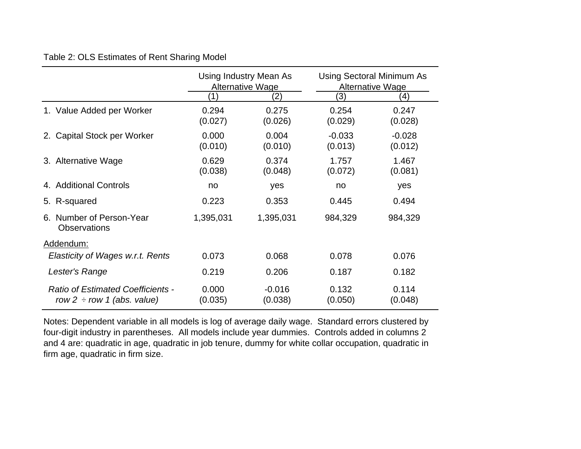### Table 2: OLS Estimates of Rent Sharing Model

|                                                                             | Using Industry Mean As<br>Alternative Wage<br>$^{\prime}$ 2) |                     | <b>Using Sectoral Minimum As</b><br>Alternative Wage<br>3)<br>(4) |                     |  |
|-----------------------------------------------------------------------------|--------------------------------------------------------------|---------------------|-------------------------------------------------------------------|---------------------|--|
| 1. Value Added per Worker                                                   | 0.294<br>(0.027)                                             | 0.275<br>(0.026)    | 0.254<br>(0.029)                                                  | 0.247<br>(0.028)    |  |
| 2. Capital Stock per Worker                                                 | 0.000<br>(0.010)                                             | 0.004<br>(0.010)    | $-0.033$<br>(0.013)                                               | $-0.028$<br>(0.012) |  |
| 3. Alternative Wage                                                         | 0.629<br>(0.038)                                             | 0.374<br>(0.048)    | 1.757<br>(0.072)                                                  | 1.467<br>(0.081)    |  |
| 4. Additional Controls                                                      | no                                                           | yes                 | no                                                                | yes                 |  |
| 5. R-squared                                                                | 0.223                                                        | 0.353               | 0.445                                                             | 0.494               |  |
| 6. Number of Person-Year<br><b>Observations</b>                             | 1,395,031                                                    | 1,395,031           | 984,329                                                           | 984,329             |  |
| Addendum:                                                                   |                                                              |                     |                                                                   |                     |  |
| Elasticity of Wages w.r.t. Rents                                            | 0.073                                                        | 0.068               | 0.078                                                             | 0.076               |  |
| Lester's Range                                                              | 0.219                                                        | 0.206               | 0.187                                                             | 0.182               |  |
| <b>Ratio of Estimated Coefficients -</b><br>row 2 $\div$ row 1 (abs. value) | 0.000<br>(0.035)                                             | $-0.016$<br>(0.038) | 0.132<br>(0.050)                                                  | 0.114<br>(0.048)    |  |

Notes: Dependent variable in all models is log of average daily wage. Standard errors clustered by four-digit industry in parentheses. All models include year dummies. Controls added in columns 2 and 4 are: quadratic in age, quadratic in job tenure, dummy for white collar occupation, quadratic in firm age, quadratic in firm size.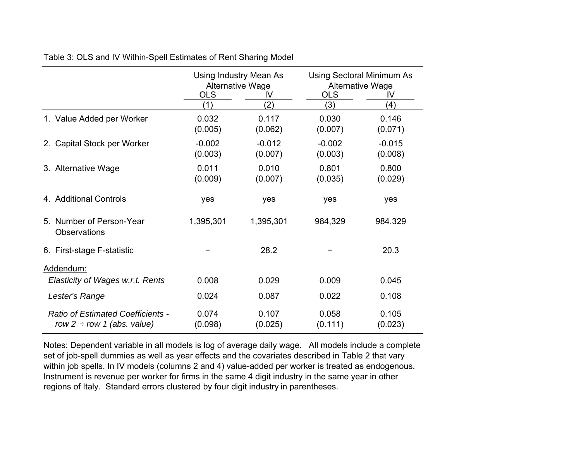|                                                                             | Using Industry Mean As<br><b>Alternative Wage</b> |                     | <b>Using Sectoral Minimum As</b><br>Alternative Wage |                     |
|-----------------------------------------------------------------------------|---------------------------------------------------|---------------------|------------------------------------------------------|---------------------|
|                                                                             | <b>OLS</b><br>IV                                  |                     | <b>OLS</b>                                           | IV                  |
|                                                                             | (1)                                               | (2)                 | (3)                                                  | (4)                 |
| 1. Value Added per Worker                                                   | 0.032<br>(0.005)                                  | 0.117<br>(0.062)    | 0.030<br>(0.007)                                     | 0.146<br>(0.071)    |
| 2. Capital Stock per Worker                                                 | $-0.002$<br>(0.003)                               | $-0.012$<br>(0.007) | $-0.002$<br>(0.003)                                  | $-0.015$<br>(0.008) |
| 3. Alternative Wage                                                         | 0.011<br>(0.009)                                  | 0.010<br>(0.007)    | 0.801<br>(0.035)                                     | 0.800<br>(0.029)    |
| 4. Additional Controls                                                      | yes                                               | yes                 | yes                                                  | yes                 |
| 5. Number of Person-Year<br><b>Observations</b>                             | 1,395,301                                         | 1,395,301           | 984,329                                              | 984,329             |
| 6. First-stage F-statistic                                                  |                                                   | 28.2                |                                                      | 20.3                |
| Addendum:                                                                   |                                                   |                     |                                                      |                     |
| Elasticity of Wages w.r.t. Rents                                            | 0.008                                             | 0.029               | 0.009                                                | 0.045               |
| Lester's Range                                                              | 0.024                                             | 0.087               | 0.022                                                | 0.108               |
| <b>Ratio of Estimated Coefficients -</b><br>row 2 $\div$ row 1 (abs. value) | 0.074<br>(0.098)                                  | 0.107<br>(0.025)    | 0.058<br>(0.111)                                     | 0.105<br>(0.023)    |

Table 3: OLS and IV Within-Spell Estimates of Rent Sharin g Model

Notes: Dependent variable in all models is log of average daily wage. All models include a complete set of job-spell dummies as well as year effects and the covariates described in Table 2 that vary within job spells. In IV models (columns 2 and 4) value-added per worker is treated as endogenous. Instrument is revenue per worker for firms in the same 4 digit industry in the same year in other regions of Italy. Standard errors clustered by four digit industry in parentheses.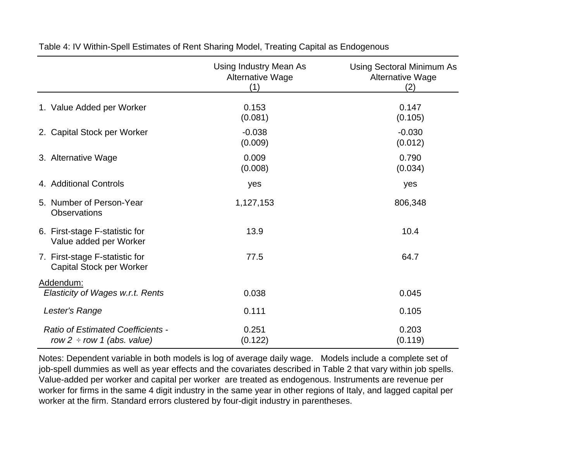|                                                                             | Using Industry Mean As<br>Alternative Wage<br>(1) | Using Sectoral Minimum As<br>Alternative Wage<br>(2) |  |
|-----------------------------------------------------------------------------|---------------------------------------------------|------------------------------------------------------|--|
| 1. Value Added per Worker                                                   | 0.153<br>(0.081)                                  | 0.147<br>(0.105)                                     |  |
| 2. Capital Stock per Worker                                                 | $-0.038$<br>(0.009)                               | $-0.030$<br>(0.012)                                  |  |
| 3. Alternative Wage                                                         | 0.009<br>(0.008)                                  | 0.790<br>(0.034)                                     |  |
| 4. Additional Controls                                                      | yes                                               | yes                                                  |  |
| 5. Number of Person-Year<br><b>Observations</b>                             | 1,127,153                                         | 806,348                                              |  |
| 6. First-stage F-statistic for<br>Value added per Worker                    | 13.9                                              | 10.4                                                 |  |
| 7. First-stage F-statistic for<br>Capital Stock per Worker                  | 77.5                                              | 64.7                                                 |  |
| Addendum:<br>Elasticity of Wages w.r.t. Rents                               | 0.038                                             | 0.045                                                |  |
| Lester's Range                                                              | 0.111                                             | 0.105                                                |  |
| <b>Ratio of Estimated Coefficients -</b><br>row 2 $\div$ row 1 (abs. value) | 0.251<br>(0.122)                                  | 0.203<br>(0.119)                                     |  |

Table 4: IV Within-Spell Estimates of Rent Sharing Model, Treating Capital as Endogenous

Notes: Dependent variable in both models is log of average daily wage. Models include a complete set of job-spell dummies as well as year effects and the covariates described in Table 2 that vary within job spells. Value-added per worker and capital per worker are treated as endogenous. Instruments are revenue per worker for firms in the same 4 digit industry in the same year in other regions of Italy, and lagged capital per worker at the firm. Standard errors clustered by four-digit industry in parentheses.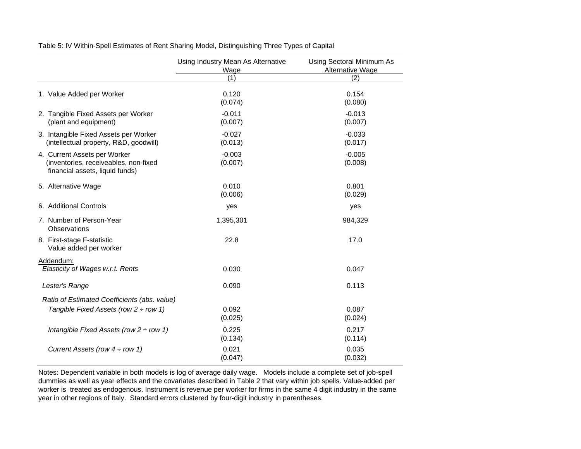|                                                                                                          | Using Industry Mean As Alternative<br>Wage | Using Sectoral Minimum As<br>Alternative Wage |  |  |
|----------------------------------------------------------------------------------------------------------|--------------------------------------------|-----------------------------------------------|--|--|
|                                                                                                          | (1)                                        | (2)                                           |  |  |
| 1. Value Added per Worker                                                                                | 0.120<br>(0.074)                           | 0.154<br>(0.080)                              |  |  |
| 2. Tangible Fixed Assets per Worker<br>(plant and equipment)                                             | $-0.011$<br>(0.007)                        | $-0.013$<br>(0.007)                           |  |  |
| 3. Intangible Fixed Assets per Worker<br>(intellectual property, R&D, goodwill)                          | $-0.027$<br>(0.013)                        | $-0.033$<br>(0.017)                           |  |  |
| 4. Current Assets per Worker<br>(inventories, receiveables, non-fixed<br>financial assets, liquid funds) | $-0.003$<br>(0.007)                        | $-0.005$<br>(0.008)                           |  |  |
| 5. Alternative Wage                                                                                      | 0.010<br>(0.006)                           | 0.801<br>(0.029)                              |  |  |
| 6. Additional Controls                                                                                   | yes                                        | yes                                           |  |  |
| 7. Number of Person-Year<br>Observations                                                                 | 1,395,301                                  | 984,329                                       |  |  |
| 8. First-stage F-statistic<br>Value added per worker                                                     | 22.8                                       | 17.0                                          |  |  |
| Addendum:                                                                                                |                                            |                                               |  |  |
| Elasticity of Wages w.r.t. Rents                                                                         | 0.030                                      | 0.047                                         |  |  |
| Lester's Range                                                                                           | 0.090                                      | 0.113                                         |  |  |
| Ratio of Estimated Coefficients (abs. value)                                                             |                                            |                                               |  |  |
| Tangible Fixed Assets (row $2 \div row 1$ )                                                              | 0.092<br>(0.025)                           | 0.087<br>(0.024)                              |  |  |
| Intangible Fixed Assets (row $2 \div row 1$ )                                                            | 0.225<br>(0.134)                           | 0.217<br>(0.114)                              |  |  |
| Current Assets (row $4 \div row 1$ )                                                                     | 0.021<br>(0.047)                           | 0.035<br>(0.032)                              |  |  |

Table 5: IV Within-Spell Estimates of Rent Sharing Model, Distinguishing Three Types of Capital

Notes: Dependent variable in both models is log of average daily wage. Models include a complete set of job-spell dummies as well as year effects and the covariates described in Table 2 that vary within job spells. Value-added per worker is treated as endogenous. Instrument is revenue per worker for firms in the same 4 digit industry in the same year in other regions of Italy. Standard errors clustered by four-digit industry in parentheses.